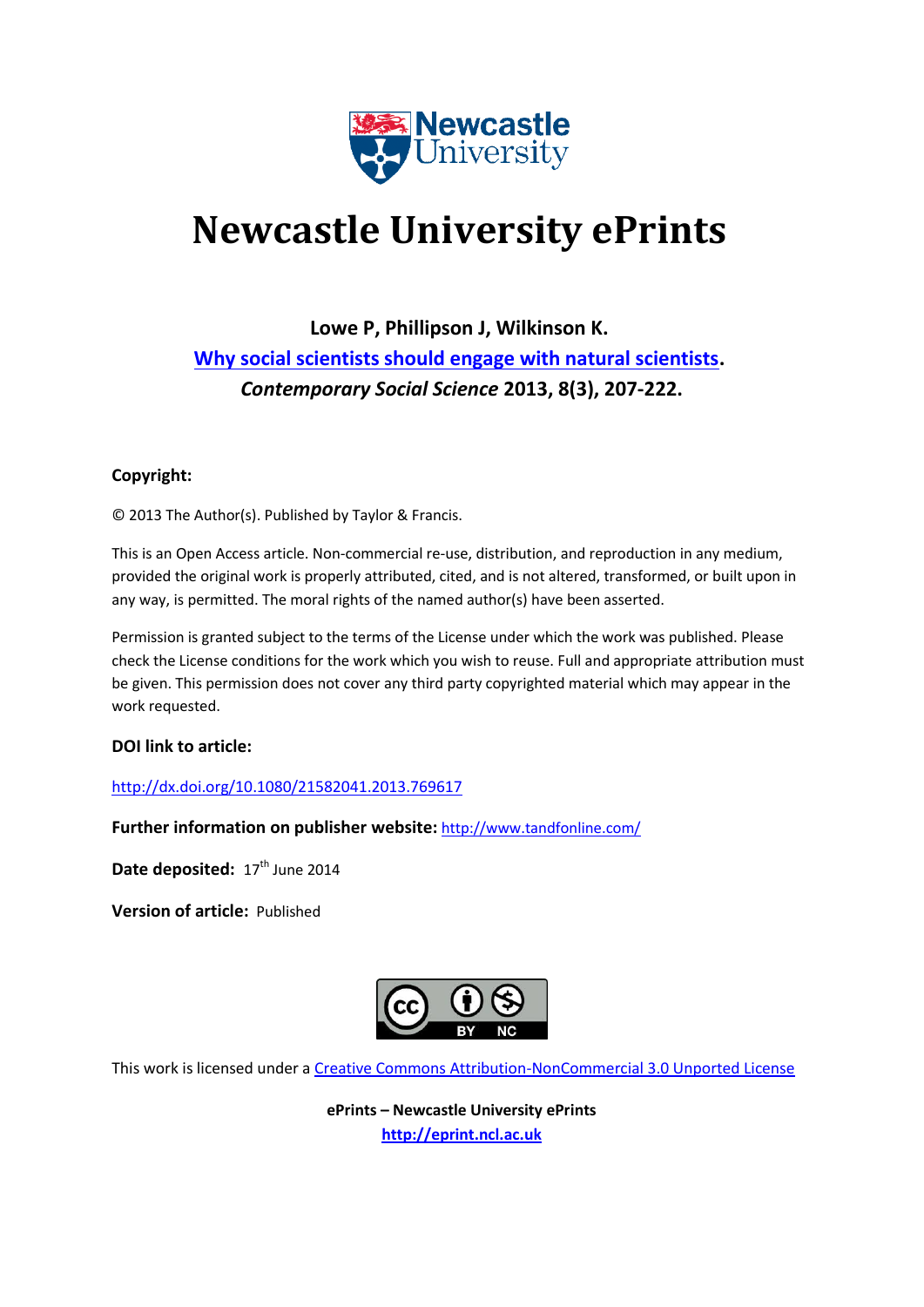

# **Newcastle University ePrints**

# **Lowe P, Phillipson J, Wilkinson K. [Why social scientists should engage with natural scientists.](javascript:ViewPublication(191402);)** *Contemporary Social Science* **2013, 8(3), 207-222.**

# **Copyright:**

© 2013 The Author(s). Published by Taylor & Francis.

This is an Open Access article. Non-commercial re-use, distribution, and reproduction in any medium, provided the original work is properly attributed, cited, and is not altered, transformed, or built upon in any way, is permitted. The moral rights of the named author(s) have been asserted.

Permission is granted subject to the terms of the License under which the work was published. Please check the License conditions for the work which you wish to reuse. Full and appropriate attribution must be given. This permission does not cover any third party copyrighted material which may appear in the work requested.

### **DOI link to article:**

<http://dx.doi.org/10.1080/21582041.2013.769617>

**Further information on publisher website:** <http://www.tandfonline.com/>

**Date deposited:** 17<sup>th</sup> June 2014

**Version of article:** Published



This work is licensed under [a Creative Commons Attribution-NonCommercial 3.0 Unported License](http://creativecommons.org/licenses/by-nc/3.0/deed.en_GB)

**ePrints – Newcastle University ePrints [http://eprint.ncl.ac.uk](http://eprint.ncl.ac.uk/)**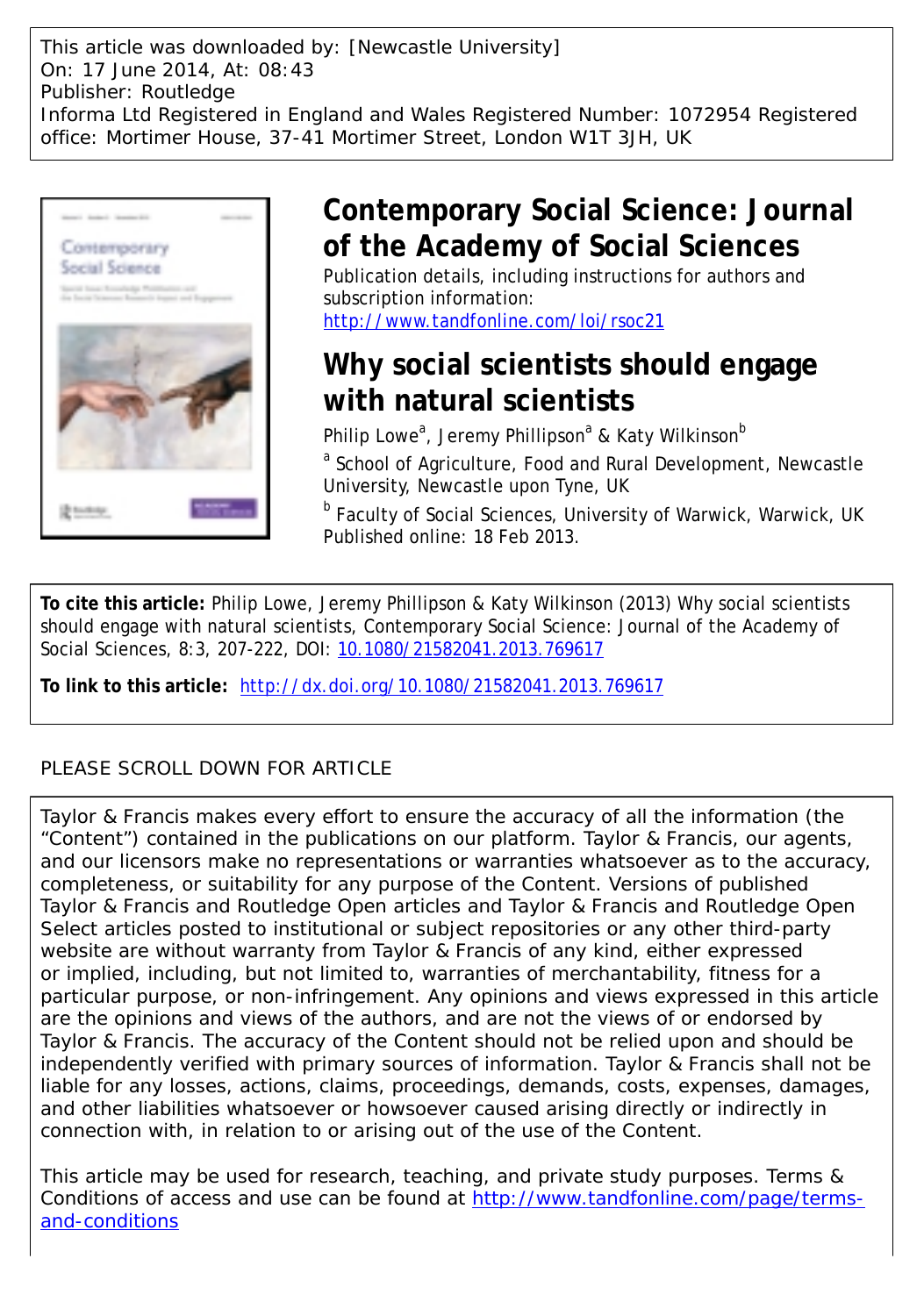This article was downloaded by: [Newcastle University] On: 17 June 2014, At: 08:43 Publisher: Routledge Informa Ltd Registered in England and Wales Registered Number: 1072954 Registered office: Mortimer House, 37-41 Mortimer Street, London W1T 3JH, UK



# **Contemporary Social Science: Journal of the Academy of Social Sciences** Publication details, including instructions for authors and subscription information:

<http://www.tandfonline.com/loi/rsoc21>

# **Why social scientists should engage with natural scientists**

Philip Lowe<sup>a</sup>, Jeremy Phillipson<sup>a</sup> & Katy Wilkinson<sup>b</sup>

<sup>a</sup> School of Agriculture, Food and Rural Development, Newcastle University, Newcastle upon Tyne, UK

**b** Faculty of Social Sciences, University of Warwick, Warwick, UK Published online: 18 Feb 2013.

**To cite this article:** Philip Lowe, Jeremy Phillipson & Katy Wilkinson (2013) Why social scientists should engage with natural scientists, Contemporary Social Science: Journal of the Academy of Social Sciences, 8:3, 207-222, DOI: [10.1080/21582041.2013.769617](http://www.tandfonline.com/action/showCitFormats?doi=10.1080/21582041.2013.769617)

**To link to this article:** <http://dx.doi.org/10.1080/21582041.2013.769617>

## PLEASE SCROLL DOWN FOR ARTICLE

Taylor & Francis makes every effort to ensure the accuracy of all the information (the "Content") contained in the publications on our platform. Taylor & Francis, our agents, and our licensors make no representations or warranties whatsoever as to the accuracy, completeness, or suitability for any purpose of the Content. Versions of published Taylor & Francis and Routledge Open articles and Taylor & Francis and Routledge Open Select articles posted to institutional or subject repositories or any other third-party website are without warranty from Taylor & Francis of any kind, either expressed or implied, including, but not limited to, warranties of merchantability, fitness for a particular purpose, or non-infringement. Any opinions and views expressed in this article are the opinions and views of the authors, and are not the views of or endorsed by Taylor & Francis. The accuracy of the Content should not be relied upon and should be independently verified with primary sources of information. Taylor & Francis shall not be liable for any losses, actions, claims, proceedings, demands, costs, expenses, damages, and other liabilities whatsoever or howsoever caused arising directly or indirectly in connection with, in relation to or arising out of the use of the Content.

This article may be used for research, teaching, and private study purposes. Terms & Conditions of access and use can be found at [http://www.tandfonline.com/page/terms](http://www.tandfonline.com/page/terms-and-conditions)[and-conditions](http://www.tandfonline.com/page/terms-and-conditions)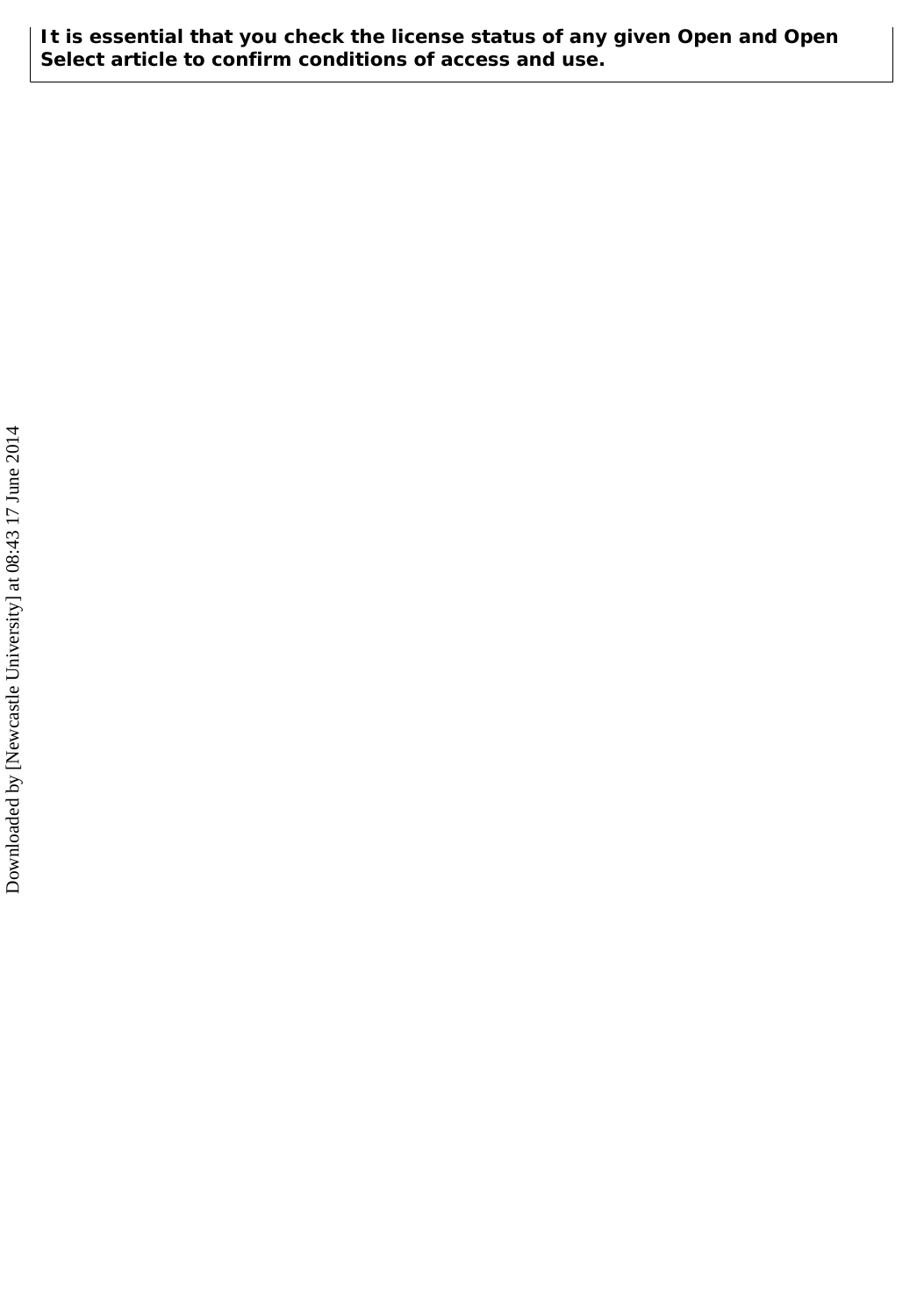**It is essential that you check the license status of any given Open and Open Select article to confirm conditions of access and use.**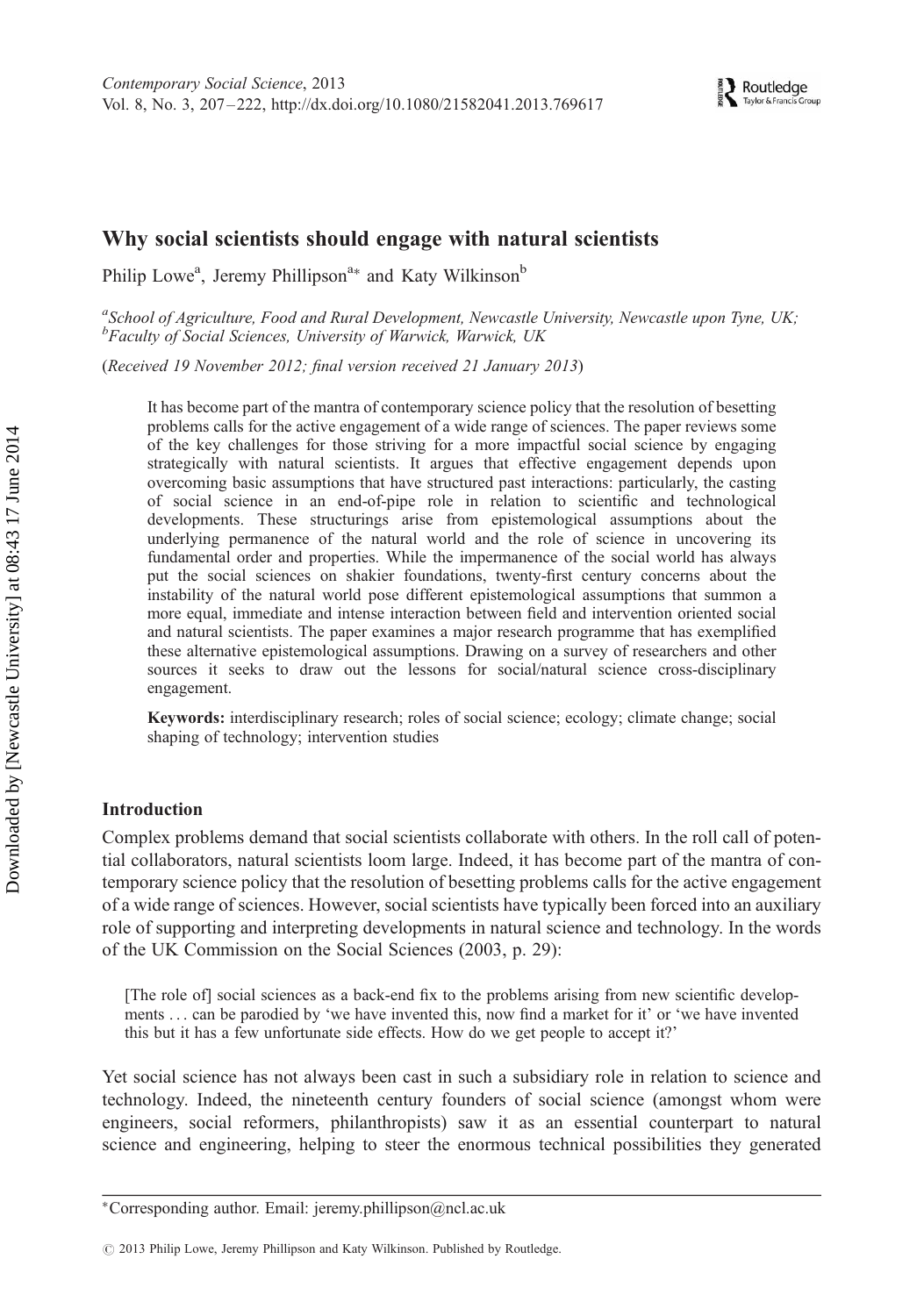

### Why social scientists should engage with natural scientists

Philip Lowe<sup>a</sup>, Jeremy Phillipson<sup>a∗</sup> and Katy Wilkinson<sup>b</sup>

a<br>School of Agriculture, Food and Rural Development, Newcastle University, Newcastle upon Tyne, UK; <sup>b</sup>Faculty of Social Sciences, University of Warwick, Warwick, UK

(Received 19 November 2012; final version received 21 January 2013)

It has become part of the mantra of contemporary science policy that the resolution of besetting problems calls for the active engagement of a wide range of sciences. The paper reviews some of the key challenges for those striving for a more impactful social science by engaging strategically with natural scientists. It argues that effective engagement depends upon overcoming basic assumptions that have structured past interactions: particularly, the casting of social science in an end-of-pipe role in relation to scientific and technological developments. These structurings arise from epistemological assumptions about the underlying permanence of the natural world and the role of science in uncovering its fundamental order and properties. While the impermanence of the social world has always put the social sciences on shakier foundations, twenty-first century concerns about the instability of the natural world pose different epistemological assumptions that summon a more equal, immediate and intense interaction between field and intervention oriented social and natural scientists. The paper examines a major research programme that has exemplified these alternative epistemological assumptions. Drawing on a survey of researchers and other sources it seeks to draw out the lessons for social/natural science cross-disciplinary engagement.

Keywords: interdisciplinary research; roles of social science; ecology; climate change; social shaping of technology; intervention studies

#### Introduction

Complex problems demand that social scientists collaborate with others. In the roll call of potential collaborators, natural scientists loom large. Indeed, it has become part of the mantra of contemporary science policy that the resolution of besetting problems calls for the active engagement of a wide range of sciences. However, social scientists have typically been forced into an auxiliary role of supporting and interpreting developments in natural science and technology. In the words of the UK Commission on the Social Sciences (2003, p. 29):

[The role of] social sciences as a back-end fix to the problems arising from new scientific developments ... can be parodied by 'we have invented this, now find a market for it' or 'we have invented this but it has a few unfortunate side effects. How do we get people to accept it?'

Yet social science has not always been cast in such a subsidiary role in relation to science and technology. Indeed, the nineteenth century founders of social science (amongst whom were engineers, social reformers, philanthropists) saw it as an essential counterpart to natural science and engineering, helping to steer the enormous technical possibilities they generated

 $C$  2013 Philip Lowe, Jeremy Phillipson and Katy Wilkinson. Published by Routledge.

<sup>∗</sup>Corresponding author. Email: jeremy.phillipson@ncl.ac.uk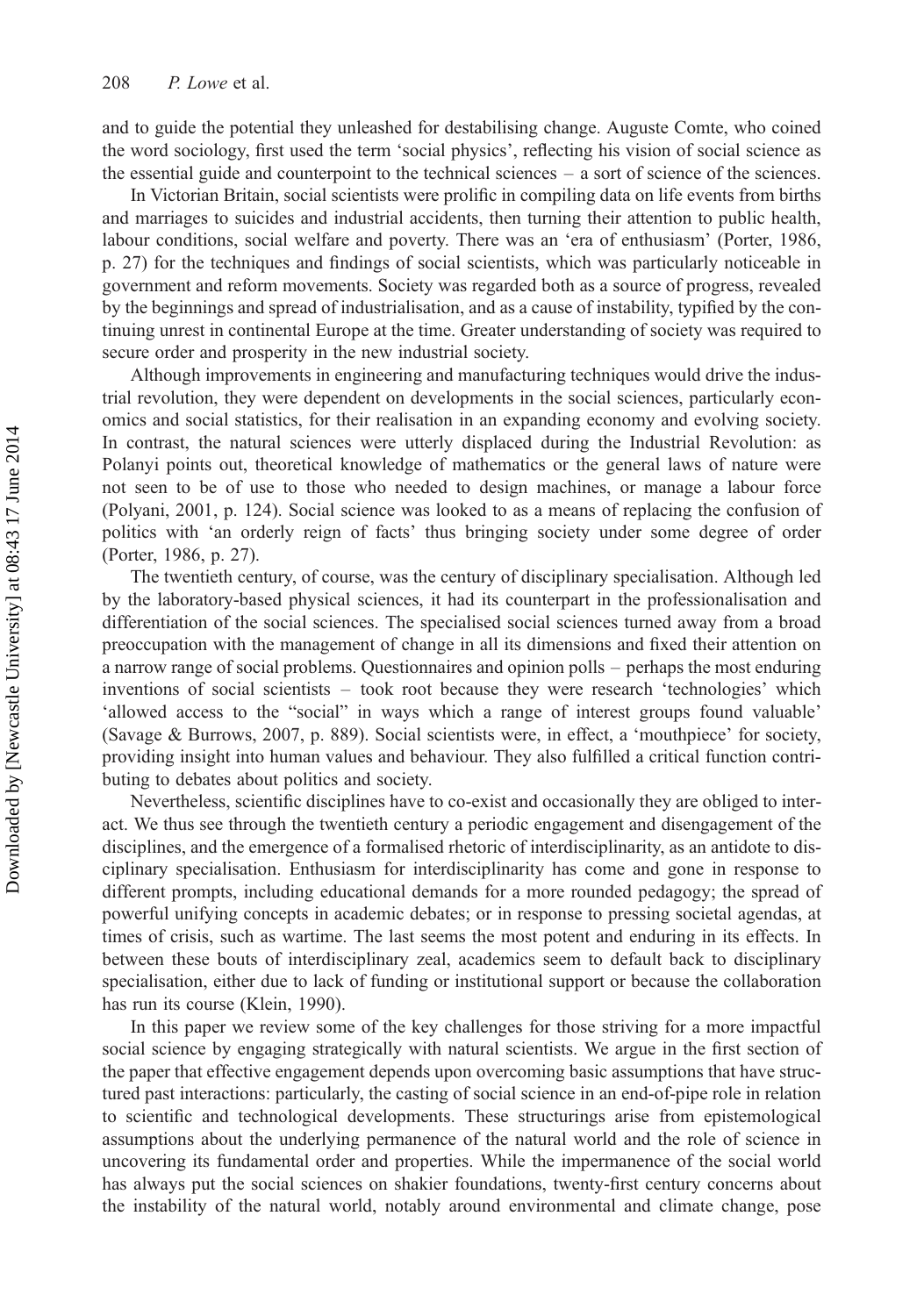and to guide the potential they unleashed for destabilising change. Auguste Comte, who coined the word sociology, first used the term 'social physics', reflecting his vision of social science as the essential guide and counterpoint to the technical sciences – a sort of science of the sciences.

In Victorian Britain, social scientists were prolific in compiling data on life events from births and marriages to suicides and industrial accidents, then turning their attention to public health, labour conditions, social welfare and poverty. There was an 'era of enthusiasm' (Porter, 1986, p. 27) for the techniques and findings of social scientists, which was particularly noticeable in government and reform movements. Society was regarded both as a source of progress, revealed by the beginnings and spread of industrialisation, and as a cause of instability, typified by the continuing unrest in continental Europe at the time. Greater understanding of society was required to secure order and prosperity in the new industrial society.

Although improvements in engineering and manufacturing techniques would drive the industrial revolution, they were dependent on developments in the social sciences, particularly economics and social statistics, for their realisation in an expanding economy and evolving society. In contrast, the natural sciences were utterly displaced during the Industrial Revolution: as Polanyi points out, theoretical knowledge of mathematics or the general laws of nature were not seen to be of use to those who needed to design machines, or manage a labour force (Polyani, 2001, p. 124). Social science was looked to as a means of replacing the confusion of politics with 'an orderly reign of facts' thus bringing society under some degree of order (Porter, 1986, p. 27).

The twentieth century, of course, was the century of disciplinary specialisation. Although led by the laboratory-based physical sciences, it had its counterpart in the professionalisation and differentiation of the social sciences. The specialised social sciences turned away from a broad preoccupation with the management of change in all its dimensions and fixed their attention on a narrow range of social problems. Questionnaires and opinion polls – perhaps the most enduring inventions of social scientists – took root because they were research 'technologies' which 'allowed access to the "social" in ways which a range of interest groups found valuable' (Savage & Burrows, 2007, p. 889). Social scientists were, in effect, a 'mouthpiece' for society, providing insight into human values and behaviour. They also fulfilled a critical function contributing to debates about politics and society.

Nevertheless, scientific disciplines have to co-exist and occasionally they are obliged to interact. We thus see through the twentieth century a periodic engagement and disengagement of the disciplines, and the emergence of a formalised rhetoric of interdisciplinarity, as an antidote to disciplinary specialisation. Enthusiasm for interdisciplinarity has come and gone in response to different prompts, including educational demands for a more rounded pedagogy; the spread of powerful unifying concepts in academic debates; or in response to pressing societal agendas, at times of crisis, such as wartime. The last seems the most potent and enduring in its effects. In between these bouts of interdisciplinary zeal, academics seem to default back to disciplinary specialisation, either due to lack of funding or institutional support or because the collaboration has run its course (Klein, 1990).

In this paper we review some of the key challenges for those striving for a more impactful social science by engaging strategically with natural scientists. We argue in the first section of the paper that effective engagement depends upon overcoming basic assumptions that have structured past interactions: particularly, the casting of social science in an end-of-pipe role in relation to scientific and technological developments. These structurings arise from epistemological assumptions about the underlying permanence of the natural world and the role of science in uncovering its fundamental order and properties. While the impermanence of the social world has always put the social sciences on shakier foundations, twenty-first century concerns about the instability of the natural world, notably around environmental and climate change, pose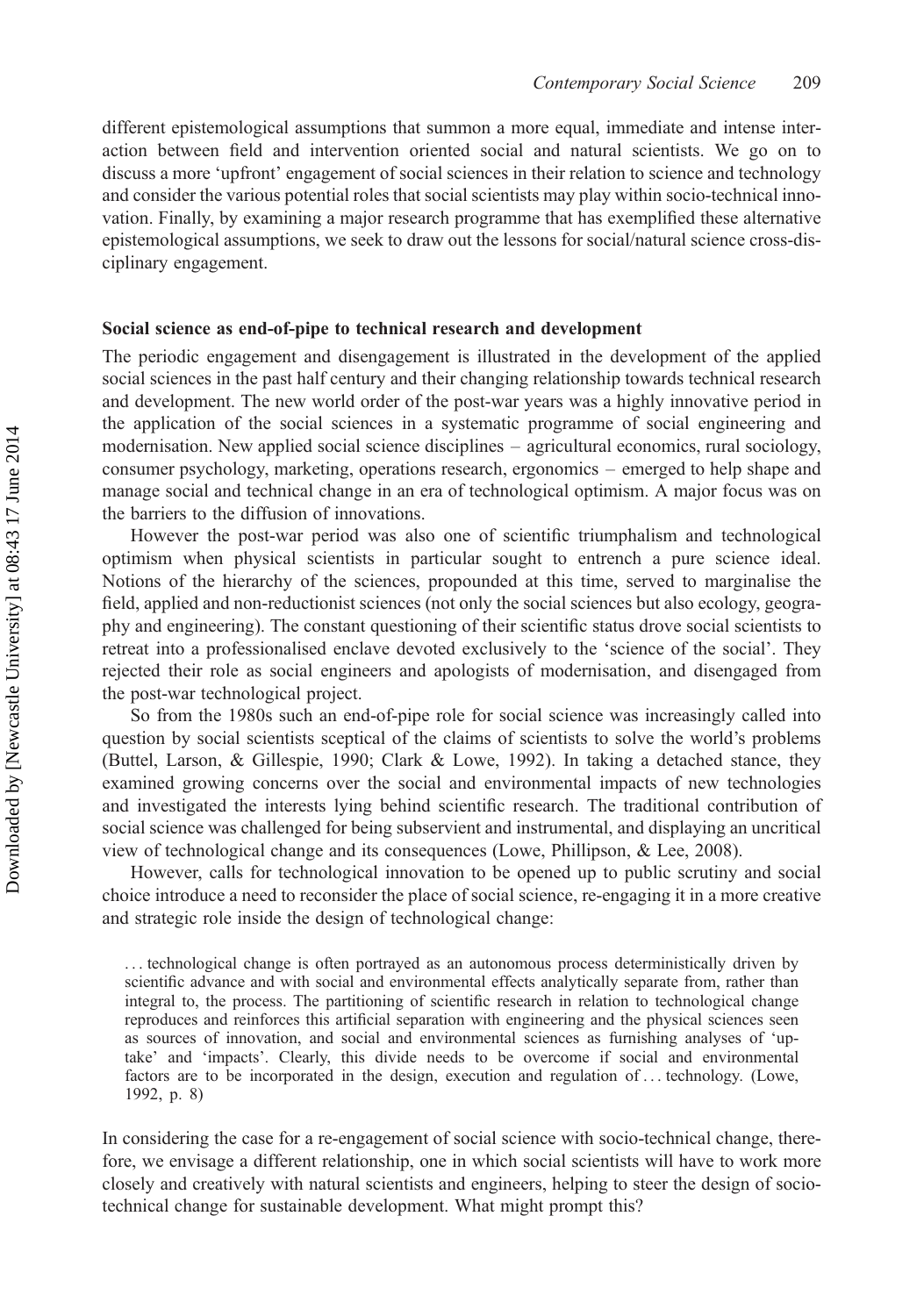different epistemological assumptions that summon a more equal, immediate and intense interaction between field and intervention oriented social and natural scientists. We go on to discuss a more 'upfront' engagement of social sciences in their relation to science and technology and consider the various potential roles that social scientists may play within socio-technical innovation. Finally, by examining a major research programme that has exemplified these alternative epistemological assumptions, we seek to draw out the lessons for social/natural science cross-disciplinary engagement.

#### Social science as end-of-pipe to technical research and development

The periodic engagement and disengagement is illustrated in the development of the applied social sciences in the past half century and their changing relationship towards technical research and development. The new world order of the post-war years was a highly innovative period in the application of the social sciences in a systematic programme of social engineering and modernisation. New applied social science disciplines – agricultural economics, rural sociology, consumer psychology, marketing, operations research, ergonomics – emerged to help shape and manage social and technical change in an era of technological optimism. A major focus was on the barriers to the diffusion of innovations.

However the post-war period was also one of scientific triumphalism and technological optimism when physical scientists in particular sought to entrench a pure science ideal. Notions of the hierarchy of the sciences, propounded at this time, served to marginalise the field, applied and non-reductionist sciences (not only the social sciences but also ecology, geography and engineering). The constant questioning of their scientific status drove social scientists to retreat into a professionalised enclave devoted exclusively to the 'science of the social'. They rejected their role as social engineers and apologists of modernisation, and disengaged from the post-war technological project.

So from the 1980s such an end-of-pipe role for social science was increasingly called into question by social scientists sceptical of the claims of scientists to solve the world's problems (Buttel, Larson, & Gillespie, 1990; Clark & Lowe, 1992). In taking a detached stance, they examined growing concerns over the social and environmental impacts of new technologies and investigated the interests lying behind scientific research. The traditional contribution of social science was challenged for being subservient and instrumental, and displaying an uncritical view of technological change and its consequences (Lowe, Phillipson, & Lee, 2008).

However, calls for technological innovation to be opened up to public scrutiny and social choice introduce a need to reconsider the place of social science, re-engaging it in a more creative and strategic role inside the design of technological change:

... technological change is often portrayed as an autonomous process deterministically driven by scientific advance and with social and environmental effects analytically separate from, rather than integral to, the process. The partitioning of scientific research in relation to technological change reproduces and reinforces this artificial separation with engineering and the physical sciences seen as sources of innovation, and social and environmental sciences as furnishing analyses of 'uptake' and 'impacts'. Clearly, this divide needs to be overcome if social and environmental factors are to be incorporated in the design, execution and regulation of ... technology. (Lowe, 1992, p. 8)

In considering the case for a re-engagement of social science with socio-technical change, therefore, we envisage a different relationship, one in which social scientists will have to work more closely and creatively with natural scientists and engineers, helping to steer the design of sociotechnical change for sustainable development. What might prompt this?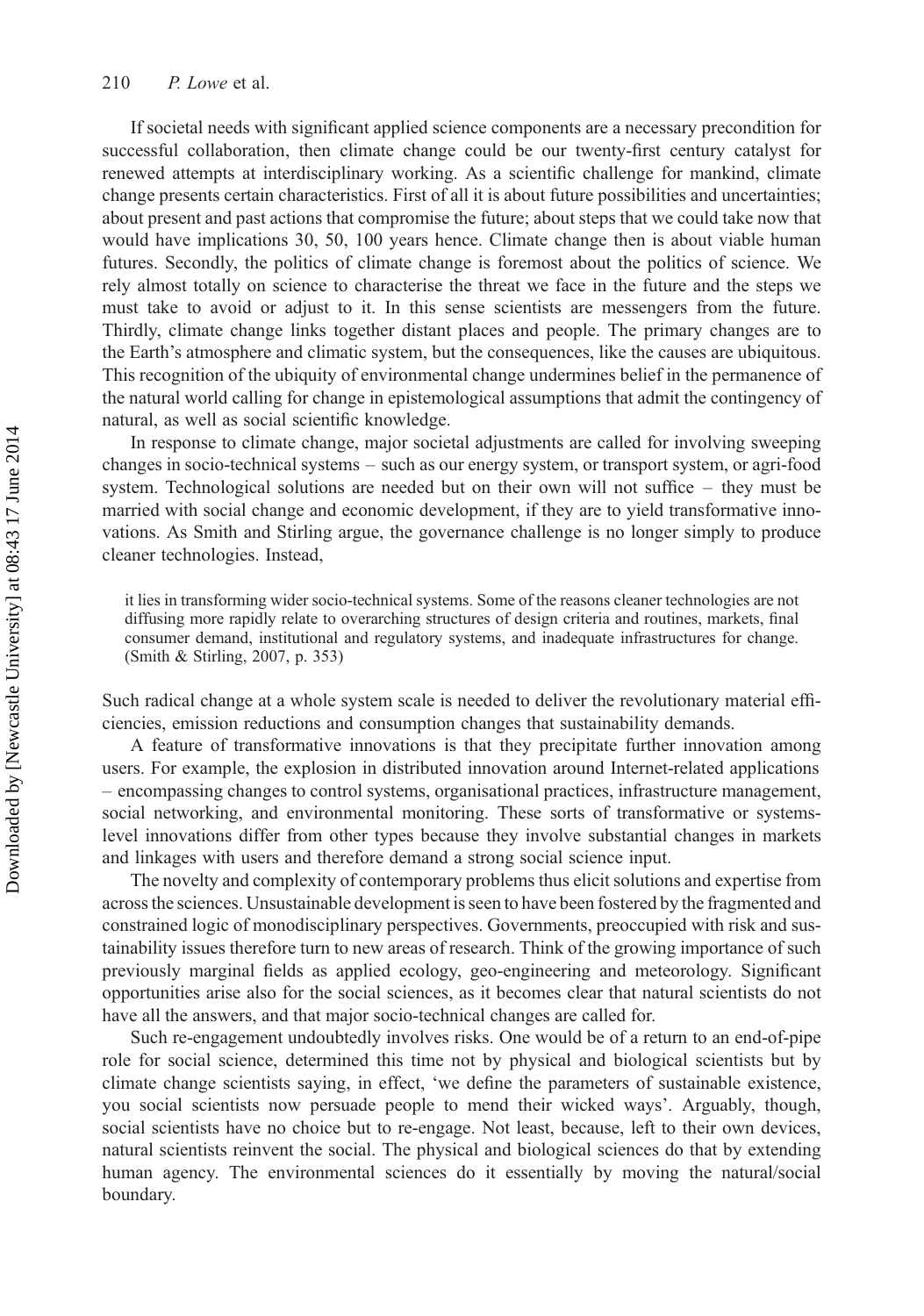If societal needs with significant applied science components are a necessary precondition for successful collaboration, then climate change could be our twenty-first century catalyst for renewed attempts at interdisciplinary working. As a scientific challenge for mankind, climate change presents certain characteristics. First of all it is about future possibilities and uncertainties; about present and past actions that compromise the future; about steps that we could take now that would have implications 30, 50, 100 years hence. Climate change then is about viable human futures. Secondly, the politics of climate change is foremost about the politics of science. We rely almost totally on science to characterise the threat we face in the future and the steps we must take to avoid or adjust to it. In this sense scientists are messengers from the future. Thirdly, climate change links together distant places and people. The primary changes are to the Earth's atmosphere and climatic system, but the consequences, like the causes are ubiquitous. This recognition of the ubiquity of environmental change undermines belief in the permanence of the natural world calling for change in epistemological assumptions that admit the contingency of natural, as well as social scientific knowledge.

In response to climate change, major societal adjustments are called for involving sweeping changes in socio-technical systems – such as our energy system, or transport system, or agri-food system. Technological solutions are needed but on their own will not suffice – they must be married with social change and economic development, if they are to yield transformative innovations. As Smith and Stirling argue, the governance challenge is no longer simply to produce cleaner technologies. Instead,

it lies in transforming wider socio-technical systems. Some of the reasons cleaner technologies are not diffusing more rapidly relate to overarching structures of design criteria and routines, markets, final consumer demand, institutional and regulatory systems, and inadequate infrastructures for change. (Smith & Stirling, 2007, p. 353)

Such radical change at a whole system scale is needed to deliver the revolutionary material efficiencies, emission reductions and consumption changes that sustainability demands.

A feature of transformative innovations is that they precipitate further innovation among users. For example, the explosion in distributed innovation around Internet-related applications – encompassing changes to control systems, organisational practices, infrastructure management, social networking, and environmental monitoring. These sorts of transformative or systemslevel innovations differ from other types because they involve substantial changes in markets and linkages with users and therefore demand a strong social science input.

The novelty and complexity of contemporary problems thus elicit solutions and expertise from across the sciences. Unsustainable development is seen to have been fostered by the fragmented and constrained logic of monodisciplinary perspectives. Governments, preoccupied with risk and sustainability issues therefore turn to new areas of research. Think of the growing importance of such previously marginal fields as applied ecology, geo-engineering and meteorology. Significant opportunities arise also for the social sciences, as it becomes clear that natural scientists do not have all the answers, and that major socio-technical changes are called for.

Such re-engagement undoubtedly involves risks. One would be of a return to an end-of-pipe role for social science, determined this time not by physical and biological scientists but by climate change scientists saying, in effect, 'we define the parameters of sustainable existence, you social scientists now persuade people to mend their wicked ways'. Arguably, though, social scientists have no choice but to re-engage. Not least, because, left to their own devices, natural scientists reinvent the social. The physical and biological sciences do that by extending human agency. The environmental sciences do it essentially by moving the natural/social boundary.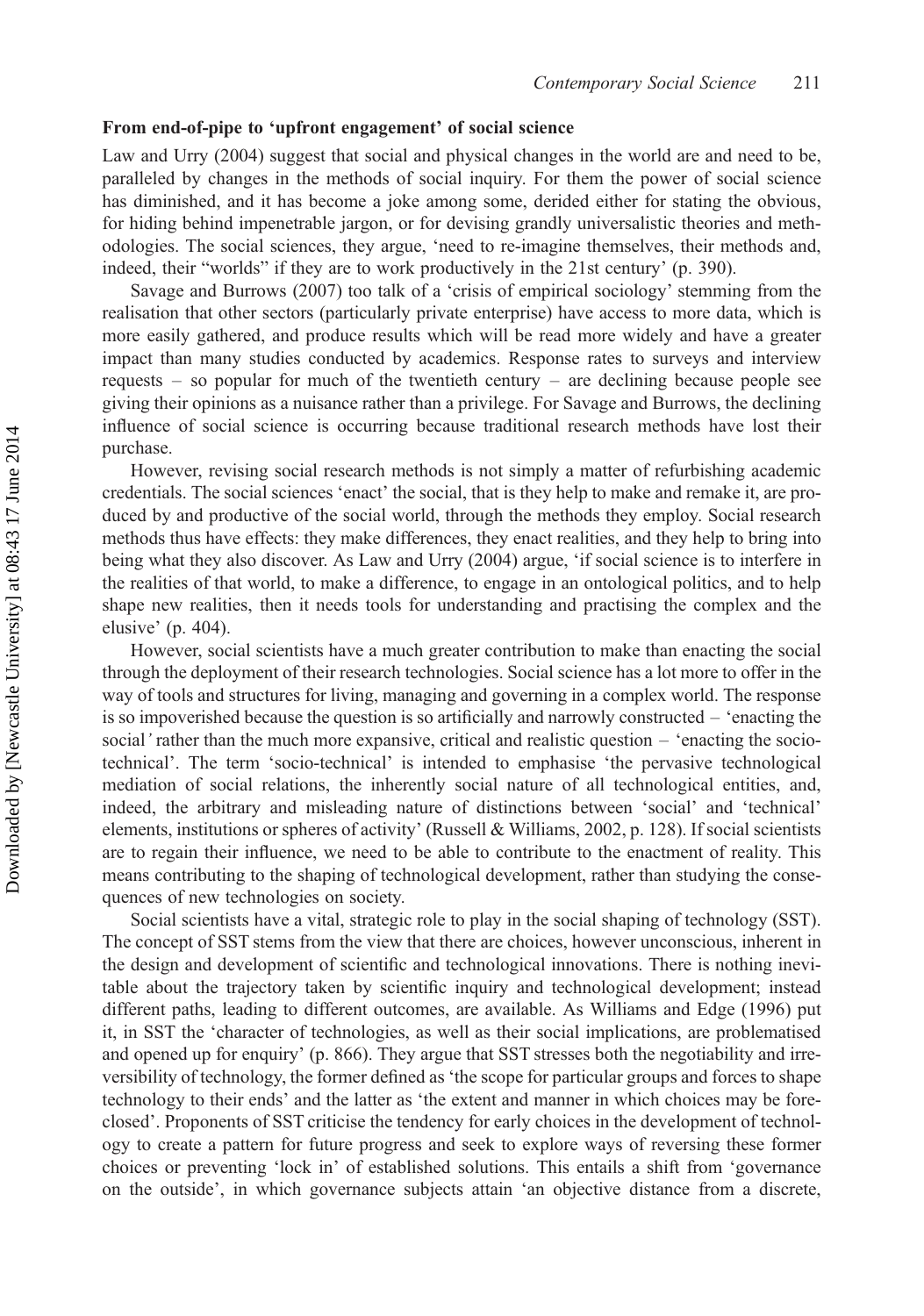#### From end-of-pipe to 'upfront engagement' of social science

Law and Urry (2004) suggest that social and physical changes in the world are and need to be, paralleled by changes in the methods of social inquiry. For them the power of social science has diminished, and it has become a joke among some, derided either for stating the obvious, for hiding behind impenetrable jargon, or for devising grandly universalistic theories and methodologies. The social sciences, they argue, 'need to re-imagine themselves, their methods and, indeed, their "worlds" if they are to work productively in the 21st century' (p. 390).

Savage and Burrows (2007) too talk of a 'crisis of empirical sociology' stemming from the realisation that other sectors (particularly private enterprise) have access to more data, which is more easily gathered, and produce results which will be read more widely and have a greater impact than many studies conducted by academics. Response rates to surveys and interview requests – so popular for much of the twentieth century – are declining because people see giving their opinions as a nuisance rather than a privilege. For Savage and Burrows, the declining influence of social science is occurring because traditional research methods have lost their purchase.

However, revising social research methods is not simply a matter of refurbishing academic credentials. The social sciences 'enact' the social, that is they help to make and remake it, are produced by and productive of the social world, through the methods they employ. Social research methods thus have effects: they make differences, they enact realities, and they help to bring into being what they also discover. As Law and Urry (2004) argue, 'if social science is to interfere in the realities of that world, to make a difference, to engage in an ontological politics, and to help shape new realities, then it needs tools for understanding and practising the complex and the elusive' (p. 404).

However, social scientists have a much greater contribution to make than enacting the social through the deployment of their research technologies. Social science has a lot more to offer in the way of tools and structures for living, managing and governing in a complex world. The response is so impoverished because the question is so artificially and narrowly constructed – 'enacting the social' rather than the much more expansive, critical and realistic question – 'enacting the sociotechnical'. The term 'socio-technical' is intended to emphasise 'the pervasive technological mediation of social relations, the inherently social nature of all technological entities, and, indeed, the arbitrary and misleading nature of distinctions between 'social' and 'technical' elements, institutions or spheres of activity' (Russell & Williams, 2002, p. 128). If social scientists are to regain their influence, we need to be able to contribute to the enactment of reality. This means contributing to the shaping of technological development, rather than studying the consequences of new technologies on society.

Social scientists have a vital, strategic role to play in the social shaping of technology (SST). The concept of SST stems from the view that there are choices, however unconscious, inherent in the design and development of scientific and technological innovations. There is nothing inevitable about the trajectory taken by scientific inquiry and technological development; instead different paths, leading to different outcomes, are available. As Williams and Edge (1996) put it, in SST the 'character of technologies, as well as their social implications, are problematised and opened up for enquiry' (p. 866). They argue that SST stresses both the negotiability and irreversibility of technology, the former defined as 'the scope for particular groups and forces to shape technology to their ends' and the latter as 'the extent and manner in which choices may be foreclosed'. Proponents of SST criticise the tendency for early choices in the development of technology to create a pattern for future progress and seek to explore ways of reversing these former choices or preventing 'lock in' of established solutions. This entails a shift from 'governance on the outside', in which governance subjects attain 'an objective distance from a discrete,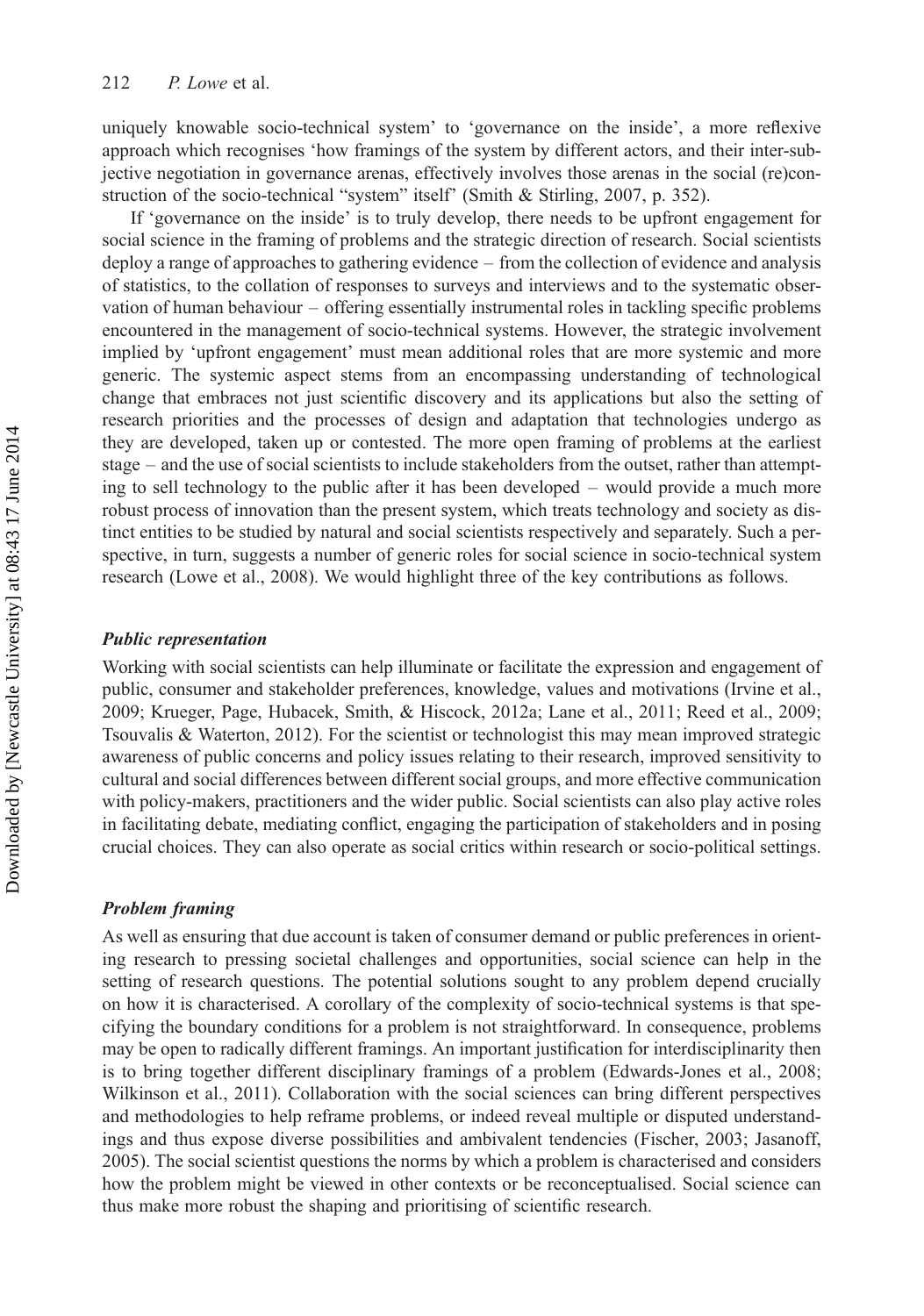uniquely knowable socio-technical system' to 'governance on the inside', a more reflexive approach which recognises 'how framings of the system by different actors, and their inter-subjective negotiation in governance arenas, effectively involves those arenas in the social (re)construction of the socio-technical "system" itself' (Smith & Stirling, 2007, p. 352).

If 'governance on the inside' is to truly develop, there needs to be upfront engagement for social science in the framing of problems and the strategic direction of research. Social scientists deploy a range of approaches to gathering evidence – from the collection of evidence and analysis of statistics, to the collation of responses to surveys and interviews and to the systematic observation of human behaviour – offering essentially instrumental roles in tackling specific problems encountered in the management of socio-technical systems. However, the strategic involvement implied by 'upfront engagement' must mean additional roles that are more systemic and more generic. The systemic aspect stems from an encompassing understanding of technological change that embraces not just scientific discovery and its applications but also the setting of research priorities and the processes of design and adaptation that technologies undergo as they are developed, taken up or contested. The more open framing of problems at the earliest stage – and the use of social scientists to include stakeholders from the outset, rather than attempting to sell technology to the public after it has been developed – would provide a much more robust process of innovation than the present system, which treats technology and society as distinct entities to be studied by natural and social scientists respectively and separately. Such a perspective, in turn, suggests a number of generic roles for social science in socio-technical system research (Lowe et al., 2008). We would highlight three of the key contributions as follows.

#### Public representation

Working with social scientists can help illuminate or facilitate the expression and engagement of public, consumer and stakeholder preferences, knowledge, values and motivations (Irvine et al., 2009; Krueger, Page, Hubacek, Smith, & Hiscock, 2012a; Lane et al., 2011; Reed et al., 2009; Tsouvalis & Waterton, 2012). For the scientist or technologist this may mean improved strategic awareness of public concerns and policy issues relating to their research, improved sensitivity to cultural and social differences between different social groups, and more effective communication with policy-makers, practitioners and the wider public. Social scientists can also play active roles in facilitating debate, mediating conflict, engaging the participation of stakeholders and in posing crucial choices. They can also operate as social critics within research or socio-political settings.

#### Problem framing

As well as ensuring that due account is taken of consumer demand or public preferences in orienting research to pressing societal challenges and opportunities, social science can help in the setting of research questions. The potential solutions sought to any problem depend crucially on how it is characterised. A corollary of the complexity of socio-technical systems is that specifying the boundary conditions for a problem is not straightforward. In consequence, problems may be open to radically different framings. An important justification for interdisciplinarity then is to bring together different disciplinary framings of a problem (Edwards-Jones et al., 2008; Wilkinson et al., 2011). Collaboration with the social sciences can bring different perspectives and methodologies to help reframe problems, or indeed reveal multiple or disputed understandings and thus expose diverse possibilities and ambivalent tendencies (Fischer, 2003; Jasanoff, 2005). The social scientist questions the norms by which a problem is characterised and considers how the problem might be viewed in other contexts or be reconceptualised. Social science can thus make more robust the shaping and prioritising of scientific research.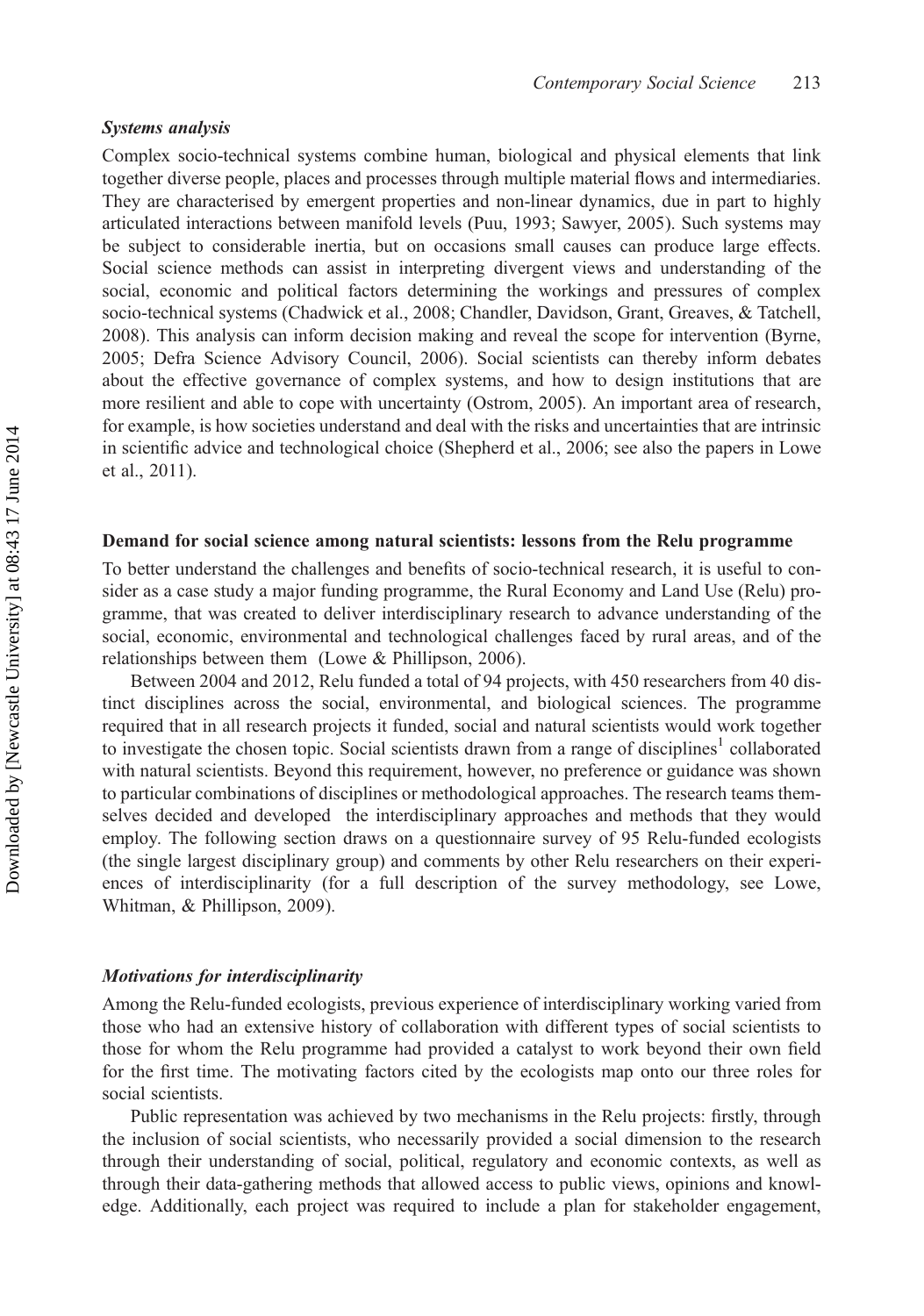#### Systems analysis

Complex socio-technical systems combine human, biological and physical elements that link together diverse people, places and processes through multiple material flows and intermediaries. They are characterised by emergent properties and non-linear dynamics, due in part to highly articulated interactions between manifold levels (Puu, 1993; Sawyer, 2005). Such systems may be subject to considerable inertia, but on occasions small causes can produce large effects. Social science methods can assist in interpreting divergent views and understanding of the social, economic and political factors determining the workings and pressures of complex socio-technical systems (Chadwick et al., 2008; Chandler, Davidson, Grant, Greaves, & Tatchell, 2008). This analysis can inform decision making and reveal the scope for intervention (Byrne, 2005; Defra Science Advisory Council, 2006). Social scientists can thereby inform debates about the effective governance of complex systems, and how to design institutions that are more resilient and able to cope with uncertainty (Ostrom, 2005). An important area of research, for example, is how societies understand and deal with the risks and uncertainties that are intrinsic in scientific advice and technological choice (Shepherd et al., 2006; see also the papers in Lowe et al., 2011).

#### Demand for social science among natural scientists: lessons from the Relu programme

To better understand the challenges and benefits of socio-technical research, it is useful to consider as a case study a major funding programme, the Rural Economy and Land Use (Relu) programme, that was created to deliver interdisciplinary research to advance understanding of the social, economic, environmental and technological challenges faced by rural areas, and of the relationships between them (Lowe & Phillipson, 2006).

Between 2004 and 2012, Relu funded a total of 94 projects, with 450 researchers from 40 distinct disciplines across the social, environmental, and biological sciences. The programme required that in all research projects it funded, social and natural scientists would work together to investigate the chosen topic. Social scientists drawn from a range of disciplines<sup>1</sup> collaborated with natural scientists. Beyond this requirement, however, no preference or guidance was shown to particular combinations of disciplines or methodological approaches. The research teams themselves decided and developed the interdisciplinary approaches and methods that they would employ. The following section draws on a questionnaire survey of 95 Relu-funded ecologists (the single largest disciplinary group) and comments by other Relu researchers on their experiences of interdisciplinarity (for a full description of the survey methodology, see Lowe, Whitman, & Phillipson, 2009).

#### Motivations for interdisciplinarity

Among the Relu-funded ecologists, previous experience of interdisciplinary working varied from those who had an extensive history of collaboration with different types of social scientists to those for whom the Relu programme had provided a catalyst to work beyond their own field for the first time. The motivating factors cited by the ecologists map onto our three roles for social scientists.

Public representation was achieved by two mechanisms in the Relu projects: firstly, through the inclusion of social scientists, who necessarily provided a social dimension to the research through their understanding of social, political, regulatory and economic contexts, as well as through their data-gathering methods that allowed access to public views, opinions and knowledge. Additionally, each project was required to include a plan for stakeholder engagement,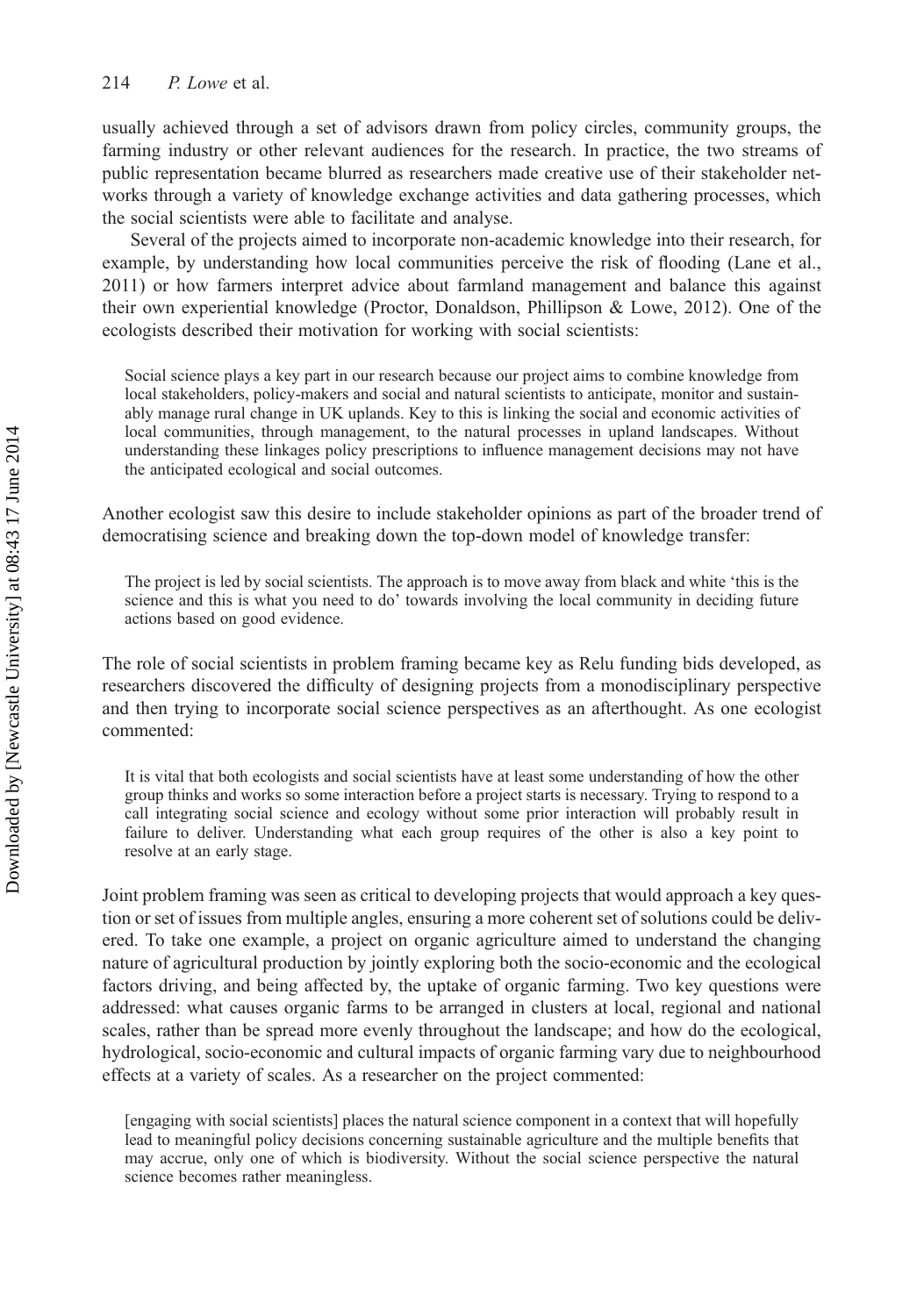usually achieved through a set of advisors drawn from policy circles, community groups, the farming industry or other relevant audiences for the research. In practice, the two streams of public representation became blurred as researchers made creative use of their stakeholder networks through a variety of knowledge exchange activities and data gathering processes, which the social scientists were able to facilitate and analyse.

Several of the projects aimed to incorporate non-academic knowledge into their research, for example, by understanding how local communities perceive the risk of flooding (Lane et al., 2011) or how farmers interpret advice about farmland management and balance this against their own experiential knowledge (Proctor, Donaldson, Phillipson & Lowe, 2012). One of the ecologists described their motivation for working with social scientists:

Social science plays a key part in our research because our project aims to combine knowledge from local stakeholders, policy-makers and social and natural scientists to anticipate, monitor and sustainably manage rural change in UK uplands. Key to this is linking the social and economic activities of local communities, through management, to the natural processes in upland landscapes. Without understanding these linkages policy prescriptions to influence management decisions may not have the anticipated ecological and social outcomes.

Another ecologist saw this desire to include stakeholder opinions as part of the broader trend of democratising science and breaking down the top-down model of knowledge transfer:

The project is led by social scientists. The approach is to move away from black and white 'this is the science and this is what you need to do' towards involving the local community in deciding future actions based on good evidence.

The role of social scientists in problem framing became key as Relu funding bids developed, as researchers discovered the difficulty of designing projects from a monodisciplinary perspective and then trying to incorporate social science perspectives as an afterthought. As one ecologist commented:

It is vital that both ecologists and social scientists have at least some understanding of how the other group thinks and works so some interaction before a project starts is necessary. Trying to respond to a call integrating social science and ecology without some prior interaction will probably result in failure to deliver. Understanding what each group requires of the other is also a key point to resolve at an early stage.

Joint problem framing was seen as critical to developing projects that would approach a key question or set of issues from multiple angles, ensuring a more coherent set of solutions could be delivered. To take one example, a project on organic agriculture aimed to understand the changing nature of agricultural production by jointly exploring both the socio-economic and the ecological factors driving, and being affected by, the uptake of organic farming. Two key questions were addressed: what causes organic farms to be arranged in clusters at local, regional and national scales, rather than be spread more evenly throughout the landscape; and how do the ecological, hydrological, socio-economic and cultural impacts of organic farming vary due to neighbourhood effects at a variety of scales. As a researcher on the project commented:

<sup>[</sup>engaging with social scientists] places the natural science component in a context that will hopefully lead to meaningful policy decisions concerning sustainable agriculture and the multiple benefits that may accrue, only one of which is biodiversity. Without the social science perspective the natural science becomes rather meaningless.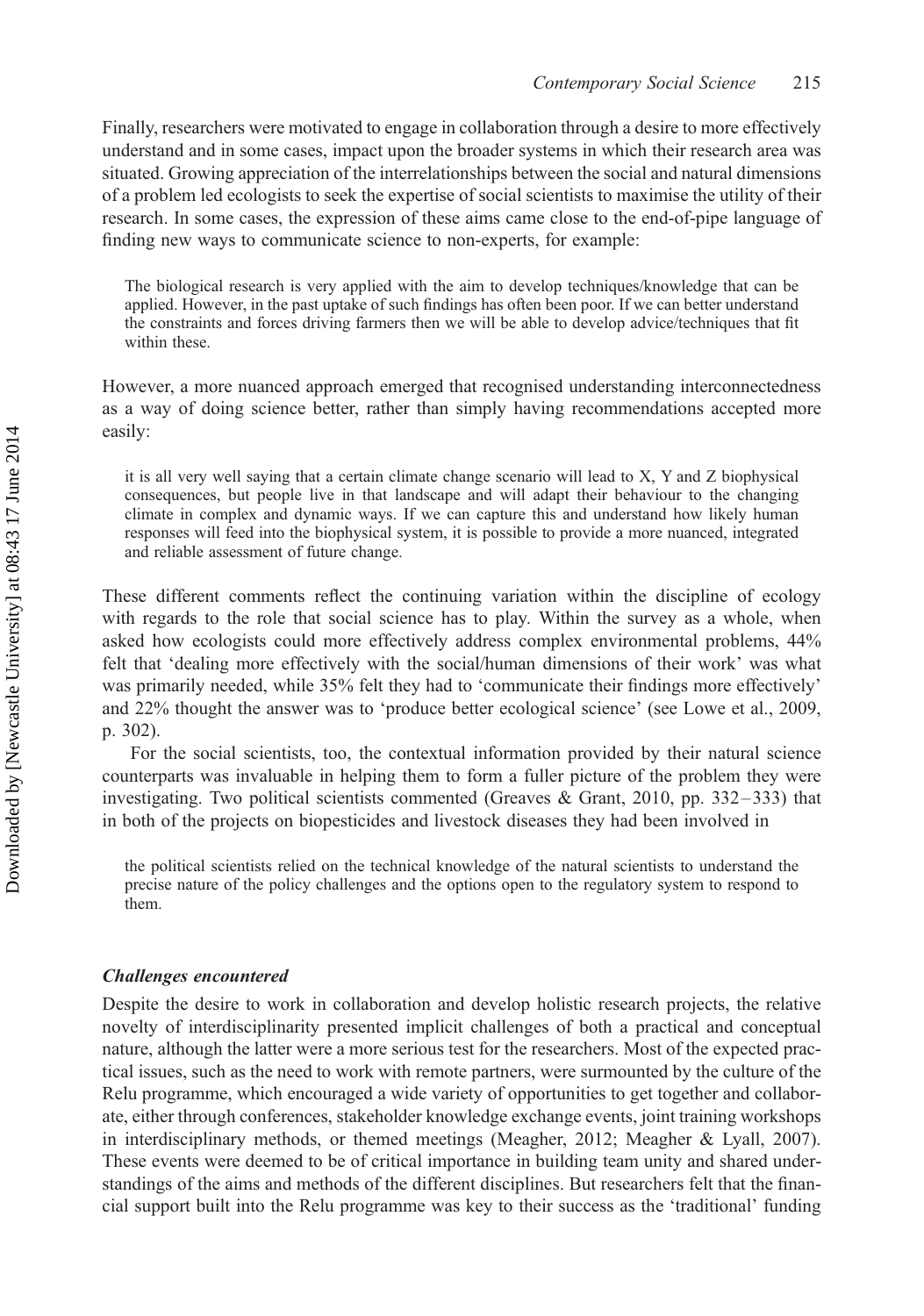Finally, researchers were motivated to engage in collaboration through a desire to more effectively understand and in some cases, impact upon the broader systems in which their research area was situated. Growing appreciation of the interrelationships between the social and natural dimensions of a problem led ecologists to seek the expertise of social scientists to maximise the utility of their research. In some cases, the expression of these aims came close to the end-of-pipe language of finding new ways to communicate science to non-experts, for example:

The biological research is very applied with the aim to develop techniques/knowledge that can be applied. However, in the past uptake of such findings has often been poor. If we can better understand the constraints and forces driving farmers then we will be able to develop advice/techniques that fit within these.

However, a more nuanced approach emerged that recognised understanding interconnectedness as a way of doing science better, rather than simply having recommendations accepted more easily:

it is all very well saying that a certain climate change scenario will lead to X, Y and Z biophysical consequences, but people live in that landscape and will adapt their behaviour to the changing climate in complex and dynamic ways. If we can capture this and understand how likely human responses will feed into the biophysical system, it is possible to provide a more nuanced, integrated and reliable assessment of future change.

These different comments reflect the continuing variation within the discipline of ecology with regards to the role that social science has to play. Within the survey as a whole, when asked how ecologists could more effectively address complex environmental problems, 44% felt that 'dealing more effectively with the social/human dimensions of their work' was what was primarily needed, while 35% felt they had to 'communicate their findings more effectively' and 22% thought the answer was to 'produce better ecological science' (see Lowe et al., 2009, p. 302).

For the social scientists, too, the contextual information provided by their natural science counterparts was invaluable in helping them to form a fuller picture of the problem they were investigating. Two political scientists commented (Greaves & Grant, 2010, pp. 332–333) that in both of the projects on biopesticides and livestock diseases they had been involved in

the political scientists relied on the technical knowledge of the natural scientists to understand the precise nature of the policy challenges and the options open to the regulatory system to respond to them.

#### Challenges encountered

Despite the desire to work in collaboration and develop holistic research projects, the relative novelty of interdisciplinarity presented implicit challenges of both a practical and conceptual nature, although the latter were a more serious test for the researchers. Most of the expected practical issues, such as the need to work with remote partners, were surmounted by the culture of the Relu programme, which encouraged a wide variety of opportunities to get together and collaborate, either through conferences, stakeholder knowledge exchange events, joint training workshops in interdisciplinary methods, or themed meetings (Meagher, 2012; Meagher & Lyall, 2007). These events were deemed to be of critical importance in building team unity and shared understandings of the aims and methods of the different disciplines. But researchers felt that the financial support built into the Relu programme was key to their success as the 'traditional' funding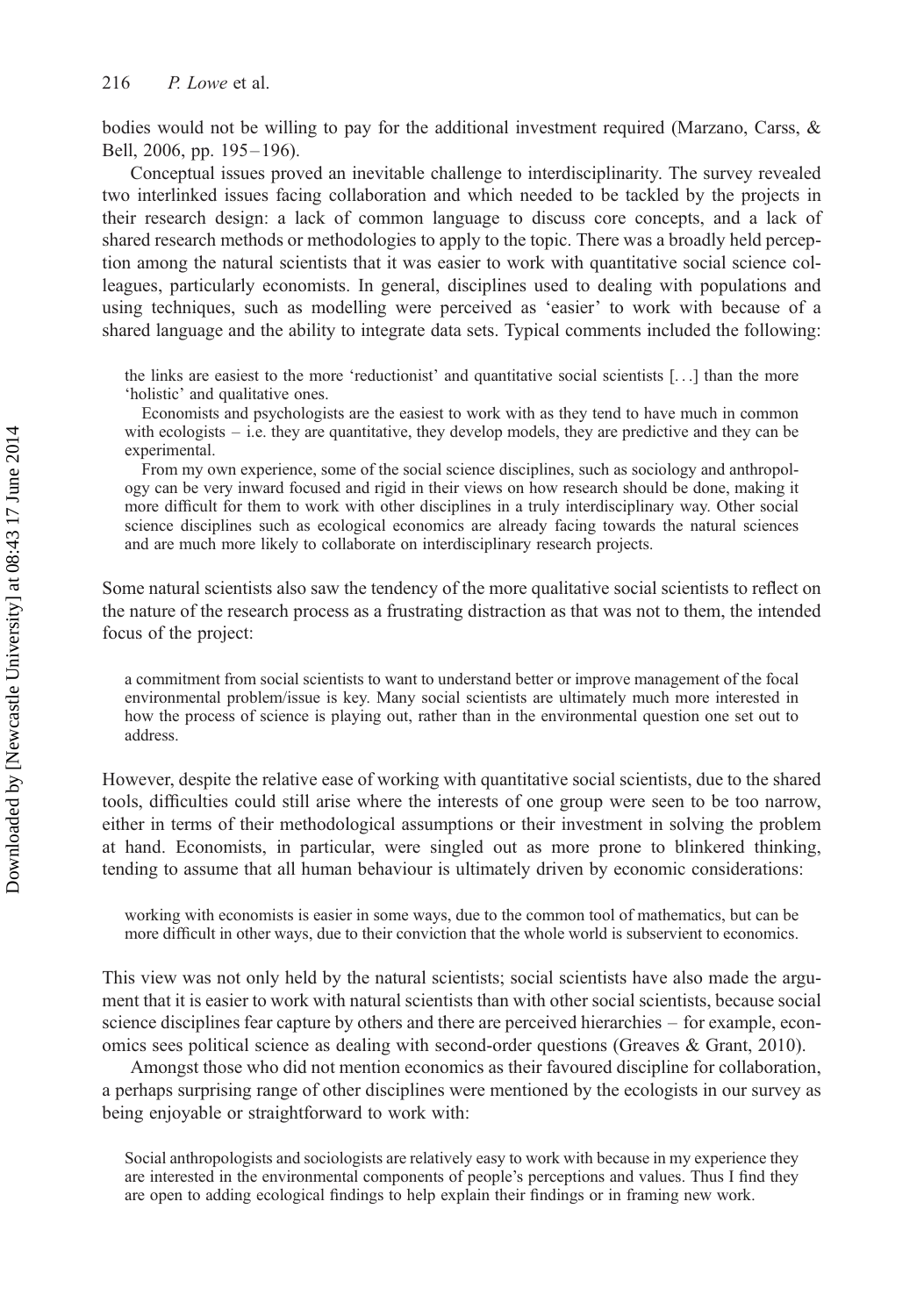bodies would not be willing to pay for the additional investment required (Marzano, Carss, & Bell, 2006, pp. 195– 196).

Conceptual issues proved an inevitable challenge to interdisciplinarity. The survey revealed two interlinked issues facing collaboration and which needed to be tackled by the projects in their research design: a lack of common language to discuss core concepts, and a lack of shared research methods or methodologies to apply to the topic. There was a broadly held perception among the natural scientists that it was easier to work with quantitative social science colleagues, particularly economists. In general, disciplines used to dealing with populations and using techniques, such as modelling were perceived as 'easier' to work with because of a shared language and the ability to integrate data sets. Typical comments included the following:

the links are easiest to the more 'reductionist' and quantitative social scientists [...] than the more 'holistic' and qualitative ones.

Economists and psychologists are the easiest to work with as they tend to have much in common with ecologists – i.e. they are quantitative, they develop models, they are predictive and they can be experimental.

From my own experience, some of the social science disciplines, such as sociology and anthropology can be very inward focused and rigid in their views on how research should be done, making it more difficult for them to work with other disciplines in a truly interdisciplinary way. Other social science disciplines such as ecological economics are already facing towards the natural sciences and are much more likely to collaborate on interdisciplinary research projects.

Some natural scientists also saw the tendency of the more qualitative social scientists to reflect on the nature of the research process as a frustrating distraction as that was not to them, the intended focus of the project:

a commitment from social scientists to want to understand better or improve management of the focal environmental problem/issue is key. Many social scientists are ultimately much more interested in how the process of science is playing out, rather than in the environmental question one set out to address.

However, despite the relative ease of working with quantitative social scientists, due to the shared tools, difficulties could still arise where the interests of one group were seen to be too narrow, either in terms of their methodological assumptions or their investment in solving the problem at hand. Economists, in particular, were singled out as more prone to blinkered thinking, tending to assume that all human behaviour is ultimately driven by economic considerations:

working with economists is easier in some ways, due to the common tool of mathematics, but can be more difficult in other ways, due to their conviction that the whole world is subservient to economics.

This view was not only held by the natural scientists; social scientists have also made the argument that it is easier to work with natural scientists than with other social scientists, because social science disciplines fear capture by others and there are perceived hierarchies – for example, economics sees political science as dealing with second-order questions (Greaves & Grant, 2010).

Amongst those who did not mention economics as their favoured discipline for collaboration, a perhaps surprising range of other disciplines were mentioned by the ecologists in our survey as being enjoyable or straightforward to work with:

Social anthropologists and sociologists are relatively easy to work with because in my experience they are interested in the environmental components of people's perceptions and values. Thus I find they are open to adding ecological findings to help explain their findings or in framing new work.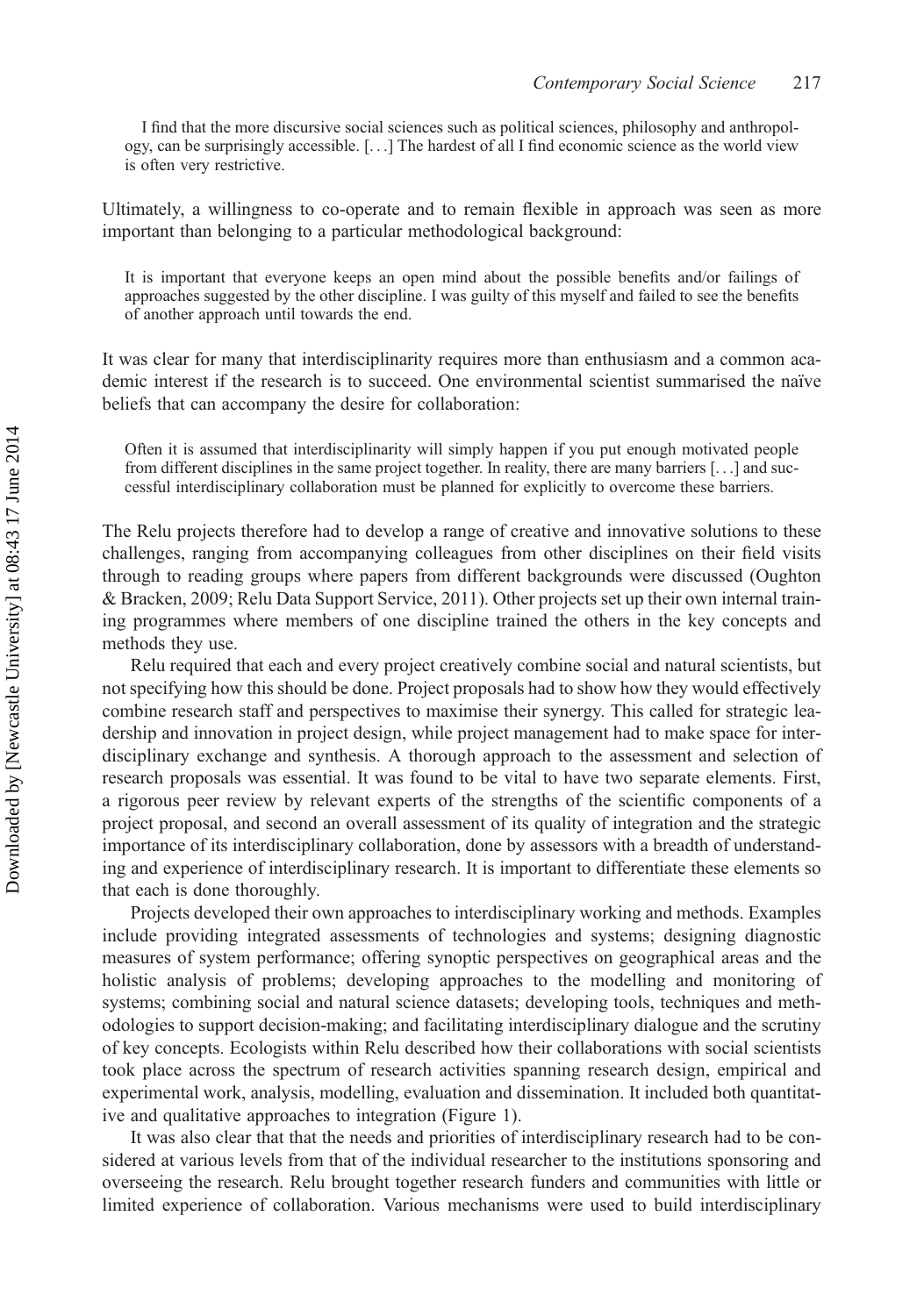I find that the more discursive social sciences such as political sciences, philosophy and anthropology, can be surprisingly accessible. [...] The hardest of all I find economic science as the world view is often very restrictive.

Ultimately, a willingness to co-operate and to remain flexible in approach was seen as more important than belonging to a particular methodological background:

It is important that everyone keeps an open mind about the possible benefits and/or failings of approaches suggested by the other discipline. I was guilty of this myself and failed to see the benefits of another approach until towards the end.

It was clear for many that interdisciplinarity requires more than enthusiasm and a common academic interest if the research is to succeed. One environmental scientist summarised the naïve beliefs that can accompany the desire for collaboration:

Often it is assumed that interdisciplinarity will simply happen if you put enough motivated people from different disciplines in the same project together. In reality, there are many barriers [...] and successful interdisciplinary collaboration must be planned for explicitly to overcome these barriers.

The Relu projects therefore had to develop a range of creative and innovative solutions to these challenges, ranging from accompanying colleagues from other disciplines on their field visits through to reading groups where papers from different backgrounds were discussed (Oughton & Bracken, 2009; Relu Data Support Service, 2011). Other projects set up their own internal training programmes where members of one discipline trained the others in the key concepts and methods they use.

Relu required that each and every project creatively combine social and natural scientists, but not specifying how this should be done. Project proposals had to show how they would effectively combine research staff and perspectives to maximise their synergy. This called for strategic leadership and innovation in project design, while project management had to make space for interdisciplinary exchange and synthesis. A thorough approach to the assessment and selection of research proposals was essential. It was found to be vital to have two separate elements. First, a rigorous peer review by relevant experts of the strengths of the scientific components of a project proposal, and second an overall assessment of its quality of integration and the strategic importance of its interdisciplinary collaboration, done by assessors with a breadth of understanding and experience of interdisciplinary research. It is important to differentiate these elements so that each is done thoroughly.

Projects developed their own approaches to interdisciplinary working and methods. Examples include providing integrated assessments of technologies and systems; designing diagnostic measures of system performance; offering synoptic perspectives on geographical areas and the holistic analysis of problems; developing approaches to the modelling and monitoring of systems; combining social and natural science datasets; developing tools, techniques and methodologies to support decision-making; and facilitating interdisciplinary dialogue and the scrutiny of key concepts. Ecologists within Relu described how their collaborations with social scientists took place across the spectrum of research activities spanning research design, empirical and experimental work, analysis, modelling, evaluation and dissemination. It included both quantitative and qualitative approaches to integration (Figure 1).

It was also clear that that the needs and priorities of interdisciplinary research had to be considered at various levels from that of the individual researcher to the institutions sponsoring and overseeing the research. Relu brought together research funders and communities with little or limited experience of collaboration. Various mechanisms were used to build interdisciplinary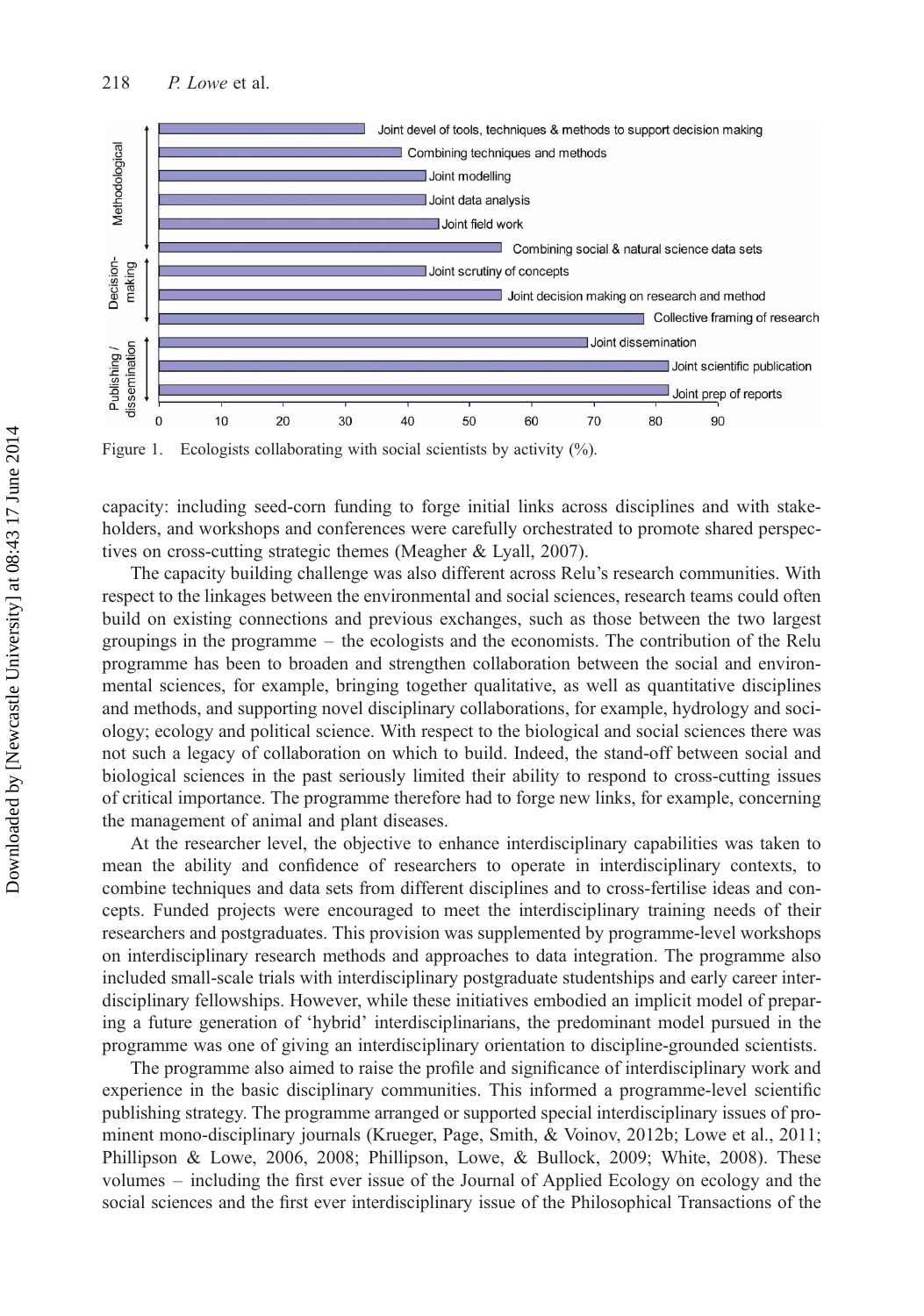

Figure 1. Ecologists collaborating with social scientists by activity  $(\%)$ .

capacity: including seed-corn funding to forge initial links across disciplines and with stakeholders, and workshops and conferences were carefully orchestrated to promote shared perspectives on cross-cutting strategic themes (Meagher & Lyall, 2007).

The capacity building challenge was also different across Relu's research communities. With respect to the linkages between the environmental and social sciences, research teams could often build on existing connections and previous exchanges, such as those between the two largest groupings in the programme – the ecologists and the economists. The contribution of the Relu programme has been to broaden and strengthen collaboration between the social and environmental sciences, for example, bringing together qualitative, as well as quantitative disciplines and methods, and supporting novel disciplinary collaborations, for example, hydrology and sociology; ecology and political science. With respect to the biological and social sciences there was not such a legacy of collaboration on which to build. Indeed, the stand-off between social and biological sciences in the past seriously limited their ability to respond to cross-cutting issues of critical importance. The programme therefore had to forge new links, for example, concerning the management of animal and plant diseases.

At the researcher level, the objective to enhance interdisciplinary capabilities was taken to mean the ability and confidence of researchers to operate in interdisciplinary contexts, to combine techniques and data sets from different disciplines and to cross-fertilise ideas and concepts. Funded projects were encouraged to meet the interdisciplinary training needs of their researchers and postgraduates. This provision was supplemented by programme-level workshops on interdisciplinary research methods and approaches to data integration. The programme also included small-scale trials with interdisciplinary postgraduate studentships and early career interdisciplinary fellowships. However, while these initiatives embodied an implicit model of preparing a future generation of 'hybrid' interdisciplinarians, the predominant model pursued in the programme was one of giving an interdisciplinary orientation to discipline-grounded scientists.

The programme also aimed to raise the profile and significance of interdisciplinary work and experience in the basic disciplinary communities. This informed a programme-level scientific publishing strategy. The programme arranged or supported special interdisciplinary issues of prominent mono-disciplinary journals (Krueger, Page, Smith, & Voinov, 2012b; Lowe et al., 2011; Phillipson & Lowe, 2006, 2008; Phillipson, Lowe, & Bullock, 2009; White, 2008). These volumes – including the first ever issue of the Journal of Applied Ecology on ecology and the social sciences and the first ever interdisciplinary issue of the Philosophical Transactions of the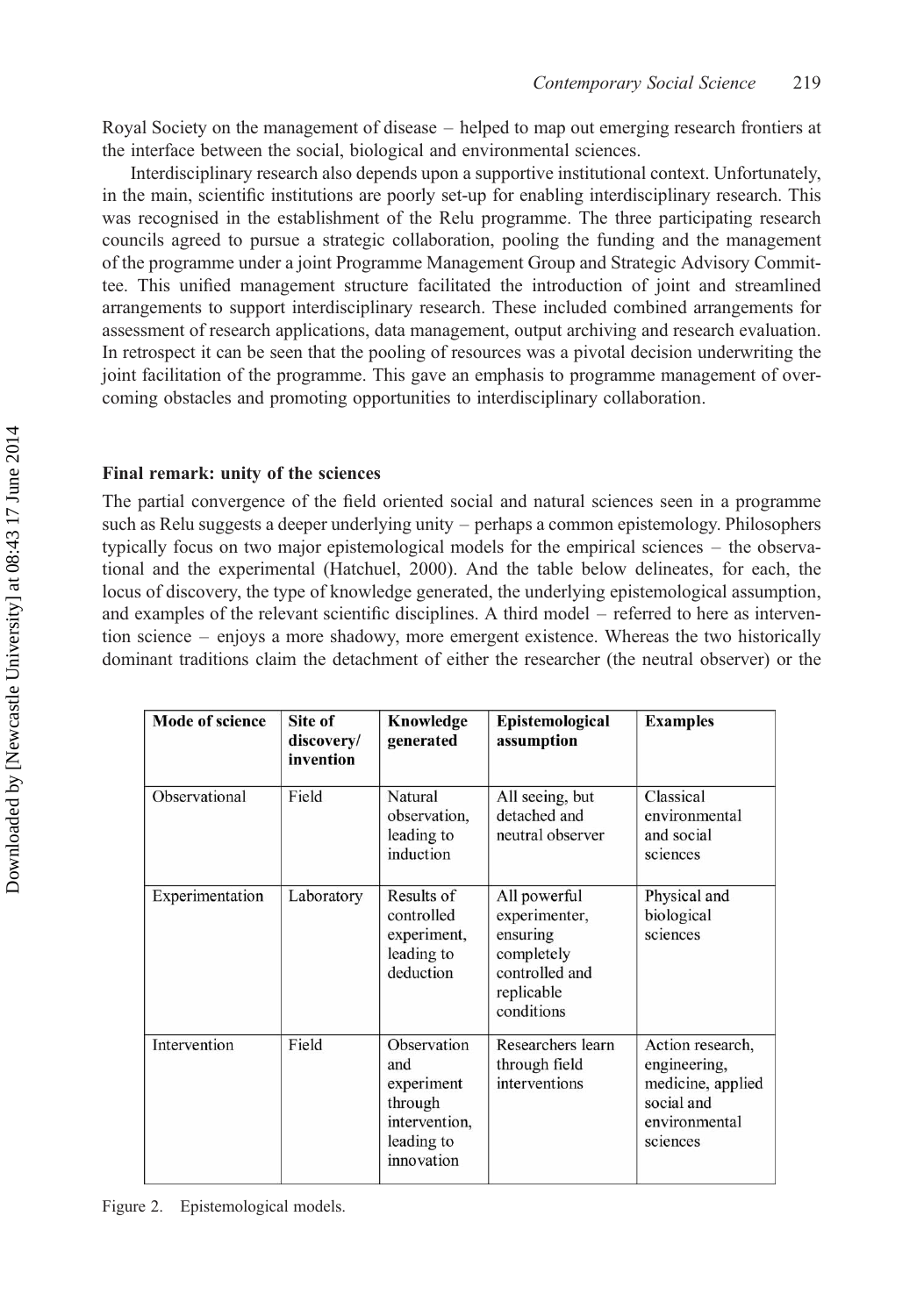Royal Society on the management of disease – helped to map out emerging research frontiers at the interface between the social, biological and environmental sciences.

Interdisciplinary research also depends upon a supportive institutional context. Unfortunately, in the main, scientific institutions are poorly set-up for enabling interdisciplinary research. This was recognised in the establishment of the Relu programme. The three participating research councils agreed to pursue a strategic collaboration, pooling the funding and the management of the programme under a joint Programme Management Group and Strategic Advisory Committee. This unified management structure facilitated the introduction of joint and streamlined arrangements to support interdisciplinary research. These included combined arrangements for assessment of research applications, data management, output archiving and research evaluation. In retrospect it can be seen that the pooling of resources was a pivotal decision underwriting the joint facilitation of the programme. This gave an emphasis to programme management of overcoming obstacles and promoting opportunities to interdisciplinary collaboration.

#### Final remark: unity of the sciences

The partial convergence of the field oriented social and natural sciences seen in a programme such as Relu suggests a deeper underlying unity – perhaps a common epistemology. Philosophers typically focus on two major epistemological models for the empirical sciences – the observational and the experimental (Hatchuel, 2000). And the table below delineates, for each, the locus of discovery, the type of knowledge generated, the underlying epistemological assumption, and examples of the relevant scientific disciplines. A third model – referred to here as intervention science – enjoys a more shadowy, more emergent existence. Whereas the two historically dominant traditions claim the detachment of either the researcher (the neutral observer) or the

| <b>Mode of science</b> | Site of<br>discovery/<br>invention | Knowledge<br>generated                                                                   | Epistemological<br>assumption                                                                         | <b>Examples</b>                                                                                  |
|------------------------|------------------------------------|------------------------------------------------------------------------------------------|-------------------------------------------------------------------------------------------------------|--------------------------------------------------------------------------------------------------|
| Observational          | Field                              | Natural<br>observation,<br>leading to<br>induction                                       | All seeing, but<br>detached and<br>neutral observer                                                   | Classical<br>environmental<br>and social<br>sciences                                             |
| Experimentation        | Laboratory                         | Results of<br>controlled<br>experiment,<br>leading to<br>deduction                       | All powerful<br>experimenter,<br>ensuring<br>completely<br>controlled and<br>replicable<br>conditions | Physical and<br>biological<br>sciences                                                           |
| Intervention           | Field                              | Observation<br>and<br>experiment<br>through<br>intervention,<br>leading to<br>innovation | Researchers learn<br>through field<br>interventions                                                   | Action research,<br>engineering,<br>medicine, applied<br>social and<br>environmental<br>sciences |

Figure 2. Epistemological models.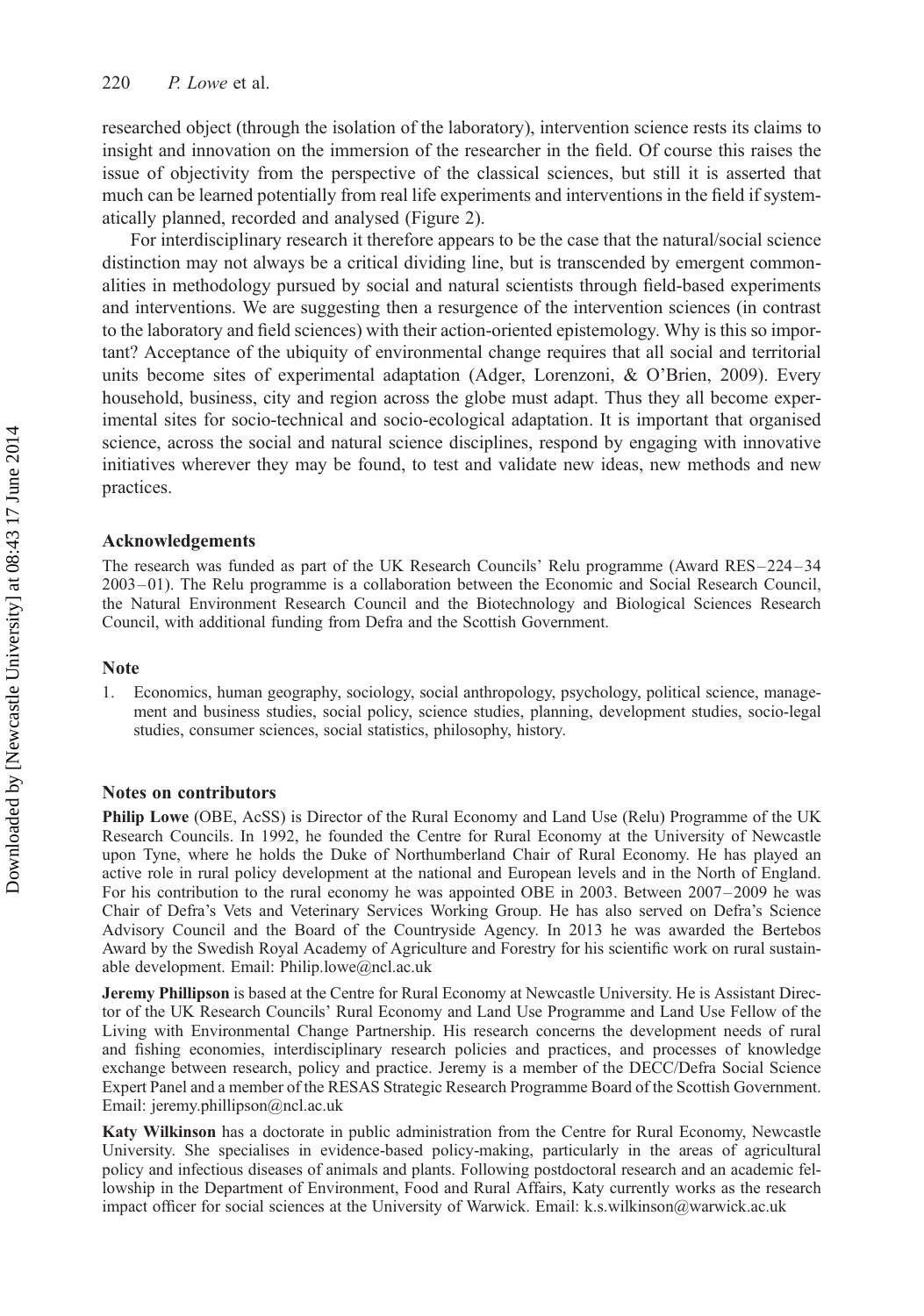researched object (through the isolation of the laboratory), intervention science rests its claims to insight and innovation on the immersion of the researcher in the field. Of course this raises the issue of objectivity from the perspective of the classical sciences, but still it is asserted that much can be learned potentially from real life experiments and interventions in the field if systematically planned, recorded and analysed (Figure 2).

For interdisciplinary research it therefore appears to be the case that the natural/social science distinction may not always be a critical dividing line, but is transcended by emergent commonalities in methodology pursued by social and natural scientists through field-based experiments and interventions. We are suggesting then a resurgence of the intervention sciences (in contrast to the laboratory and field sciences) with their action-oriented epistemology. Why is this so important? Acceptance of the ubiquity of environmental change requires that all social and territorial units become sites of experimental adaptation (Adger, Lorenzoni, & O'Brien, 2009). Every household, business, city and region across the globe must adapt. Thus they all become experimental sites for socio-technical and socio-ecological adaptation. It is important that organised science, across the social and natural science disciplines, respond by engaging with innovative initiatives wherever they may be found, to test and validate new ideas, new methods and new practices.

#### Acknowledgements

The research was funded as part of the UK Research Councils' Relu programme (Award RES–224 –34 2003– 01). The Relu programme is a collaboration between the Economic and Social Research Council, the Natural Environment Research Council and the Biotechnology and Biological Sciences Research Council, with additional funding from Defra and the Scottish Government.

#### Note

1. Economics, human geography, sociology, social anthropology, psychology, political science, management and business studies, social policy, science studies, planning, development studies, socio-legal studies, consumer sciences, social statistics, philosophy, history.

#### Notes on contributors

Philip Lowe (OBE, AcSS) is Director of the Rural Economy and Land Use (Relu) Programme of the UK Research Councils. In 1992, he founded the Centre for Rural Economy at the University of Newcastle upon Tyne, where he holds the Duke of Northumberland Chair of Rural Economy. He has played an active role in rural policy development at the national and European levels and in the North of England. For his contribution to the rural economy he was appointed OBE in 2003. Between 2007–2009 he was Chair of Defra's Vets and Veterinary Services Working Group. He has also served on Defra's Science Advisory Council and the Board of the Countryside Agency. In 2013 he was awarded the Bertebos Award by the Swedish Royal Academy of Agriculture and Forestry for his scientific work on rural sustainable development. Email: Philip.lowe@ncl.ac.uk

Jeremy Phillipson is based at the Centre for Rural Economy at Newcastle University. He is Assistant Director of the UK Research Councils' Rural Economy and Land Use Programme and Land Use Fellow of the Living with Environmental Change Partnership. His research concerns the development needs of rural and fishing economies, interdisciplinary research policies and practices, and processes of knowledge exchange between research, policy and practice. Jeremy is a member of the DECC/Defra Social Science Expert Panel and a member of the RESAS Strategic Research Programme Board of the Scottish Government. Email: jeremy.phillipson@ncl.ac.uk

Katy Wilkinson has a doctorate in public administration from the Centre for Rural Economy, Newcastle University. She specialises in evidence-based policy-making, particularly in the areas of agricultural policy and infectious diseases of animals and plants. Following postdoctoral research and an academic fellowship in the Department of Environment, Food and Rural Affairs, Katy currently works as the research impact officer for social sciences at the University of Warwick. Email: k.s.wilkinson@warwick.ac.uk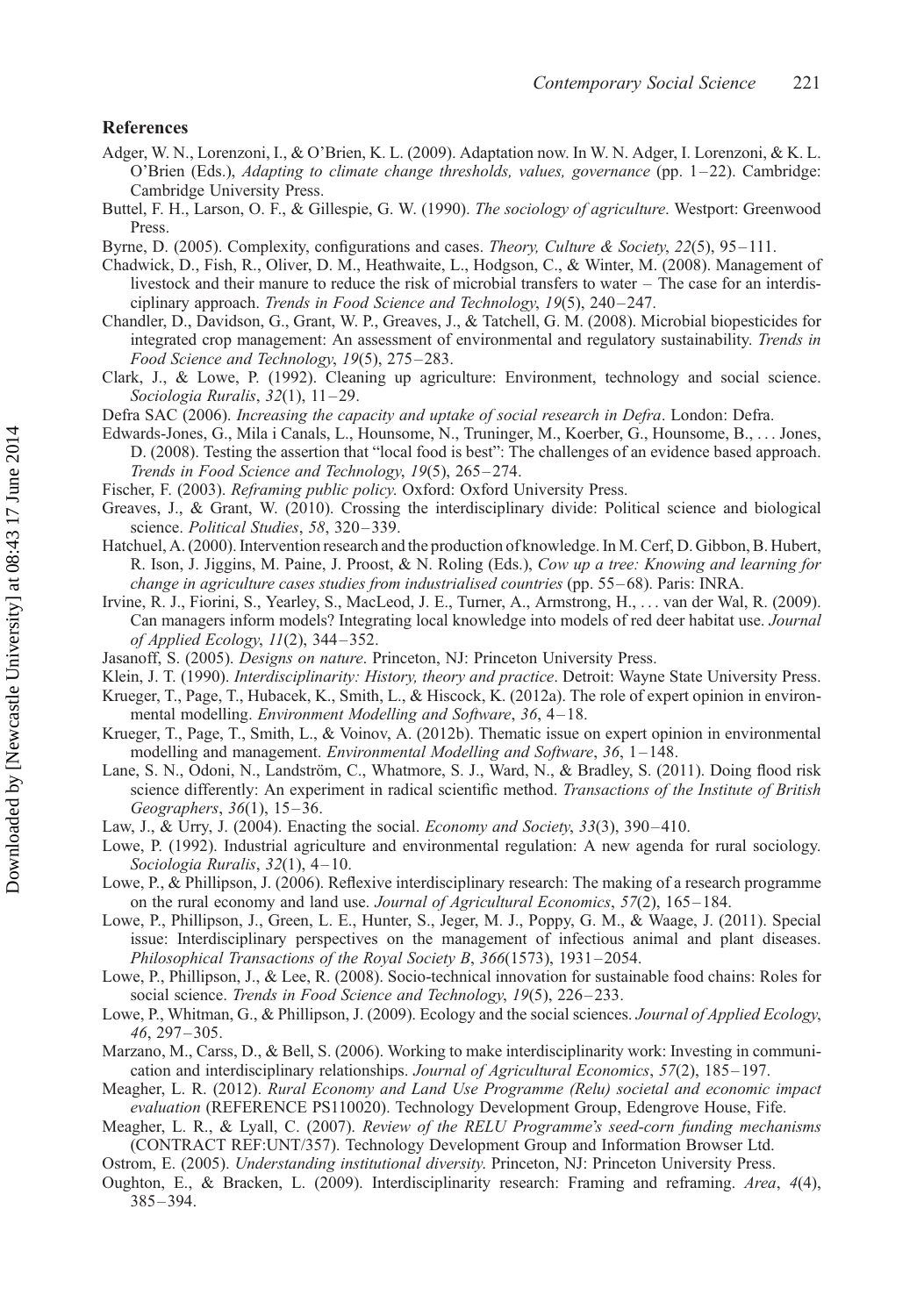#### References

- Adger, W. N., Lorenzoni, I., & O'Brien, K. L. (2009). Adaptation now. In W. N. Adger, I. Lorenzoni, & K. L. O'Brien (Eds.), Adapting to climate change thresholds, values, governance (pp.  $1-22$ ). Cambridge: Cambridge University Press.
- Buttel, F. H., Larson, O. F., & Gillespie, G. W. (1990). The sociology of agriculture. Westport: Greenwood Press.
- Byrne, D. (2005). Complexity, configurations and cases. Theory, Culture & Society, 22(5), 95-111.
- Chadwick, D., Fish, R., Oliver, D. M., Heathwaite, L., Hodgson, C., & Winter, M. (2008). Management of livestock and their manure to reduce the risk of microbial transfers to water – The case for an interdisciplinary approach. Trends in Food Science and Technology, 19(5), 240–247.
- Chandler, D., Davidson, G., Grant, W. P., Greaves, J., & Tatchell, G. M. (2008). Microbial biopesticides for integrated crop management: An assessment of environmental and regulatory sustainability. Trends in Food Science and Technology, 19(5), 275-283.
- Clark, J., & Lowe, P. (1992). Cleaning up agriculture: Environment, technology and social science. Sociologia Ruralis, 32(1), 11–29.
- Defra SAC (2006). Increasing the capacity and uptake of social research in Defra. London: Defra.
- Edwards-Jones, G., Mila i Canals, L., Hounsome, N., Truninger, M., Koerber, G., Hounsome, B., ... Jones, D. (2008). Testing the assertion that "local food is best": The challenges of an evidence based approach. Trends in Food Science and Technology, 19(5), 265-274.
- Fischer, F. (2003). Reframing public policy. Oxford: Oxford University Press.
- Greaves, J., & Grant, W. (2010). Crossing the interdisciplinary divide: Political science and biological science. Political Studies, 58, 320-339.
- Hatchuel, A. (2000). Intervention research and the production of knowledge. In M. Cerf, D. Gibbon, B. Hubert, R. Ison, J. Jiggins, M. Paine, J. Proost, & N. Roling (Eds.), Cow up a tree: Knowing and learning for change in agriculture cases studies from industrialised countries (pp. 55-68). Paris: INRA.
- Irvine, R. J., Fiorini, S., Yearley, S., MacLeod, J. E., Turner, A., Armstrong, H., ... van der Wal, R. (2009). Can managers inform models? Integrating local knowledge into models of red deer habitat use. Journal of Applied Ecology, 11(2), 344 –352.
- Jasanoff, S. (2005). Designs on nature. Princeton, NJ: Princeton University Press.
- Klein, J. T. (1990). Interdisciplinarity: History, theory and practice. Detroit: Wayne State University Press.
- Krueger, T., Page, T., Hubacek, K., Smith, L., & Hiscock, K. (2012a). The role of expert opinion in environmental modelling. Environment Modelling and Software, 36, 4–18.
- Krueger, T., Page, T., Smith, L., & Voinov, A. (2012b). Thematic issue on expert opinion in environmental modelling and management. Environmental Modelling and Software, 36, 1-148.
- Lane, S. N., Odoni, N., Landström, C., Whatmore, S. J., Ward, N., & Bradley, S. (2011). Doing flood risk science differently: An experiment in radical scientific method. Transactions of the Institute of British Geographers, 36(1), 15–36.
- Law, J., & Urry, J. (2004). Enacting the social. Economy and Society, 33(3), 390-410.
- Lowe, P. (1992). Industrial agriculture and environmental regulation: A new agenda for rural sociology. Sociologia Ruralis, 32(1), 4–10.
- Lowe, P., & Phillipson, J. (2006). Reflexive interdisciplinary research: The making of a research programme on the rural economy and land use. Journal of Agricultural Economics, 57(2), 165–184.
- Lowe, P., Phillipson, J., Green, L. E., Hunter, S., Jeger, M. J., Poppy, G. M., & Waage, J. (2011). Special issue: Interdisciplinary perspectives on the management of infectious animal and plant diseases. Philosophical Transactions of the Royal Society B, 366(1573), 1931–2054.
- Lowe, P., Phillipson, J., & Lee, R. (2008). Socio-technical innovation for sustainable food chains: Roles for social science. Trends in Food Science and Technology, 19(5), 226–233.
- Lowe, P., Whitman, G., & Phillipson, J. (2009). Ecology and the social sciences. Journal of Applied Ecology, 46, 297 –305.
- Marzano, M., Carss, D., & Bell, S. (2006). Working to make interdisciplinarity work: Investing in communication and interdisciplinary relationships. Journal of Agricultural Economics, 57(2), 185– 197.
- Meagher, L. R. (2012). Rural Economy and Land Use Programme (Relu) societal and economic impact evaluation (REFERENCE PS110020). Technology Development Group, Edengrove House, Fife.
- Meagher, L. R., & Lyall, C. (2007). Review of the RELU Programme's seed-corn funding mechanisms (CONTRACT REF:UNT/357). Technology Development Group and Information Browser Ltd.
- Ostrom, E. (2005). Understanding institutional diversity. Princeton, NJ: Princeton University Press.
- Oughton, E., & Bracken, L. (2009). Interdisciplinarity research: Framing and reframing. Area, 4(4), 385 –394.